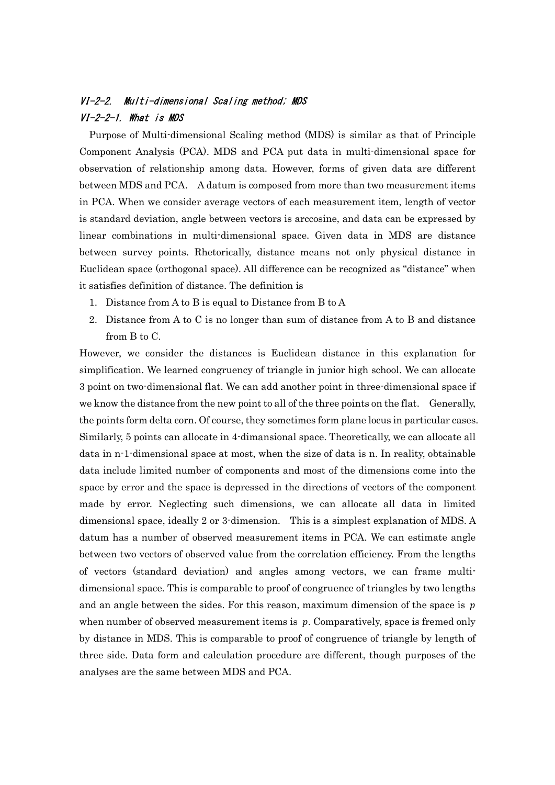# VI-2-2. Multi-dimensional Scaling method; MDS VI-2-2-1. What is MDS

Purpose of Multi-dimensional Scaling method (MDS) is similar as that of Principle Component Analysis (PCA). MDS and PCA put data in multi-dimensional space for observation of relationship among data. However, forms of given data are different between MDS and PCA. A datum is composed from more than two measurement items in PCA. When we consider average vectors of each measurement item, length of vector is standard deviation, angle between vectors is arccosine, and data can be expressed by linear combinations in multi-dimensional space. Given data in MDS are distance between survey points. Rhetorically, distance means not only physical distance in Euclidean space (orthogonal space). All difference can be recognized as "distance" when it satisfies definition of distance. The definition is

- 1. Distance from A to B is equal to Distance from B to A
- 2. Distance from A to C is no longer than sum of distance from A to B and distance from B to C.

However, we consider the distances is Euclidean distance in this explanation for simplification. We learned congruency of triangle in junior high school. We can allocate 3 point on two-dimensional flat. We can add another point in three-dimensional space if we know the distance from the new point to all of the three points on the flat. Generally, the points form delta corn. Of course, they sometimes form plane locus in particular cases. Similarly, 5 points can allocate in 4-dimansional space. Theoretically, we can allocate all data in n-1-dimensional space at most, when the size of data is n. In reality, obtainable data include limited number of components and most of the dimensions come into the space by error and the space is depressed in the directions of vectors of the component made by error. Neglecting such dimensions, we can allocate all data in limited dimensional space, ideally 2 or 3-dimension. This is a simplest explanation of MDS. A datum has a number of observed measurement items in PCA. We can estimate angle between two vectors of observed value from the correlation efficiency. From the lengths of vectors (standard deviation) and angles among vectors, we can frame multidimensional space. This is comparable to proof of congruence of triangles by two lengths and an angle between the sides. For this reason, maximum dimension of the space is  $p$ when number of observed measurement items is  $p$ . Comparatively, space is fremed only by distance in MDS. This is comparable to proof of congruence of triangle by length of three side. Data form and calculation procedure are different, though purposes of the analyses are the same between MDS and PCA.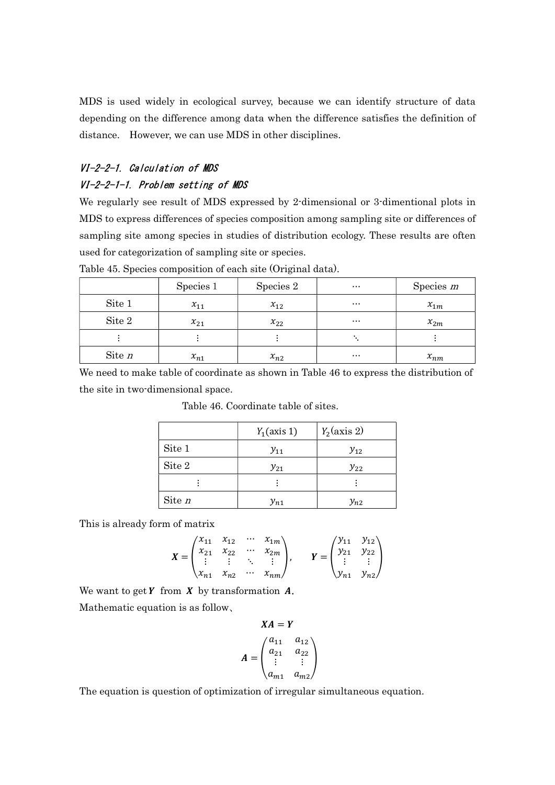MDS is used widely in ecological survey, because we can identify structure of data depending on the difference among data when the difference satisfies the definition of distance. However, we can use MDS in other disciplines.

# VI-2-2-1. Calculation of MDS VI-2-2-1-1. Problem setting of MDS

We regularly see result of MDS expressed by 2-dimensional or 3-dimentional plots in MDS to express differences of species composition among sampling site or differences of sampling site among species in studies of distribution ecology. These results are often used for categorization of sampling site or species.

|          | Species 1 | Species 2 | $\cdots$ | Species $m$ |
|----------|-----------|-----------|----------|-------------|
| Site 1   | $x_{11}$  | $x_{12}$  | $\cdots$ | $x_{1m}$    |
| Site 2   | $x_{21}$  | $x_{22}$  | $\cdots$ | $x_{2m}$    |
|          |           |           |          |             |
| Site $n$ | $x_{n1}$  | $x_{n2}$  | $\cdots$ | $x_{nm}$    |

Table 45. Species composition of each site (Original data).

We need to make table of coordinate as shown in Table 46 to express the distribution of the site in two-dimensional space.

|        | $Y_1$ (axis 1) | $Y_2$ (axis 2) |
|--------|----------------|----------------|
| Site 1 | $y_{11}$       | $y_{12}$       |
| Site 2 | $y_{21}$       | $y_{22}$       |
|        |                |                |
| Site n | $y_{n1}$       | $y_{n2}$       |

Table 46. Coordinate table of sites.

This is already form of matrix

$$
X = \begin{pmatrix} x_{11} & x_{12} & \cdots & x_{1m} \\ x_{21} & x_{22} & \cdots & x_{2m} \\ \vdots & \vdots & \ddots & \vdots \\ x_{n1} & x_{n2} & \cdots & x_{nm} \end{pmatrix}, \qquad Y = \begin{pmatrix} y_{11} & y_{12} \\ y_{21} & y_{22} \\ \vdots & \vdots \\ y_{n1} & y_{n2} \end{pmatrix}
$$

We want to get  $Y$  from  $X$  by transformation  $A$ . Mathematic equation is as follow、

$$
XA = Y
$$
  

$$
A = \begin{pmatrix} a_{11} & a_{12} \\ a_{21} & a_{22} \\ \vdots & \vdots \\ a_{m1} & a_{m2} \end{pmatrix}
$$

The equation is question of optimization of irregular simultaneous equation.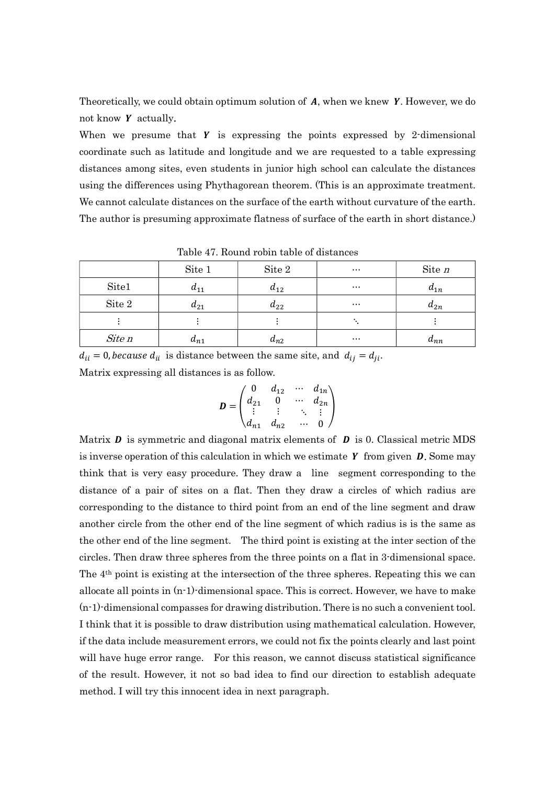Theoretically, we could obtain optimum solution of  $A$ , when we knew  $Y$ . However, we do not know  $Y$  actually.

When we presume that  $Y$  is expressing the points expressed by 2-dimensional coordinate such as latitude and longitude and we are requested to a table expressing distances among sites, even students in junior high school can calculate the distances using the differences using Phythagorean theorem. (This is an approximate treatment. We cannot calculate distances on the surface of the earth without curvature of the earth. The author is presuming approximate flatness of surface of the earth in short distance.)

| Table 11: Itoulia Lobili table of anotalled |          |          |          |                   |  |
|---------------------------------------------|----------|----------|----------|-------------------|--|
|                                             | Site 1   | Site 2   | $\cdots$ | Site $n$          |  |
| Site1                                       | $a_{11}$ | $a_{12}$ | $\cdots$ | $a_{1n}$          |  |
| Site 2                                      | $a_{21}$ | $a_{22}$ | $\cdots$ | $a_{2n}$          |  |
|                                             |          |          |          |                   |  |
| Site n                                      | $a_{n1}$ | $a_{n2}$ | $\cdots$ | $\mathbf{u}_{nn}$ |  |

Table 47. Round robin table of distances

 $d_{ii} = 0$ , *because*  $d_{ii}$  is distance between the same site, and  $d_{ij} = d_{ji}$ .

Matrix expressing all distances is as follow.

$$
\mathbf{D} = \begin{pmatrix} 0 & d_{12} & \cdots & d_{1n} \\ d_{21} & 0 & \cdots & d_{2n} \\ \vdots & \vdots & \ddots & \vdots \\ d_{n1} & d_{n2} & \cdots & 0 \end{pmatrix}
$$

Matrix  $\bm{D}$  is symmetric and diagonal matrix elements of  $\bm{D}$  is 0. Classical metric MDS is inverse operation of this calculation in which we estimate  $Y$  from given  $D$ . Some may think that is very easy procedure. They draw a line segment corresponding to the distance of a pair of sites on a flat. Then they draw a circles of which radius are corresponding to the distance to third point from an end of the line segment and draw another circle from the other end of the line segment of which radius is is the same as the other end of the line segment. The third point is existing at the inter section of the circles. Then draw three spheres from the three points on a flat in 3-dimensional space. The 4th point is existing at the intersection of the three spheres. Repeating this we can allocate all points in (n-1)-dimensional space. This is correct. However, we have to make (n-1)-dimensional compasses for drawing distribution. There is no such a convenient tool. I think that it is possible to draw distribution using mathematical calculation. However, if the data include measurement errors, we could not fix the points clearly and last point will have huge error range. For this reason, we cannot discuss statistical significance of the result. However, it not so bad idea to find our direction to establish adequate method. I will try this innocent idea in next paragraph.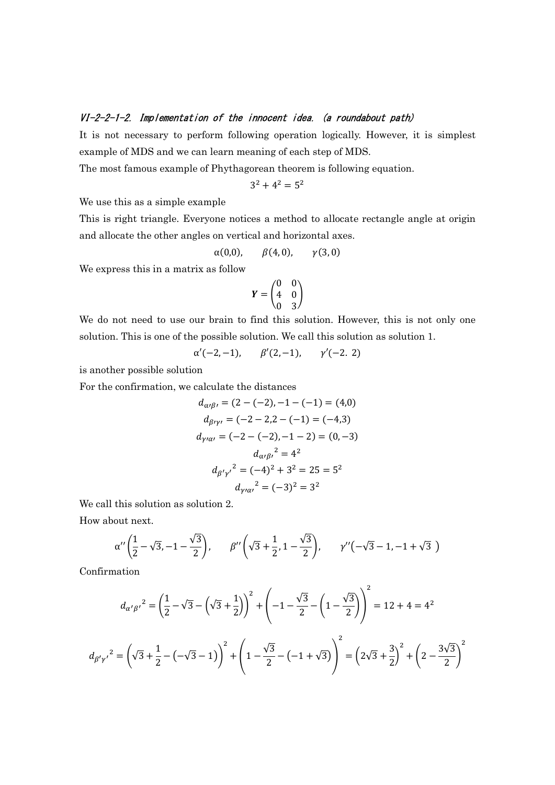#### VI-2-2-1-2. Implementation of the innocent idea. (a roundabout path)

It is not necessary to perform following operation logically. However, it is simplest example of MDS and we can learn meaning of each step of MDS.

The most famous example of Phythagorean theorem is following equation.

$$
3^2 + 4^2 = 5^2
$$

We use this as a simple example

This is right triangle. Everyone notices a method to allocate rectangle angle at origin and allocate the other angles on vertical and horizontal axes.

$$
\alpha(0,0), \qquad \beta(4,0), \qquad \gamma(3,0)
$$

We express this in a matrix as follow

$$
\boldsymbol{Y} = \begin{pmatrix} 0 & 0 \\ 4 & 0 \\ 0 & 3 \end{pmatrix}
$$

We do not need to use our brain to find this solution. However, this is not only one solution. This is one of the possible solution. We call this solution as solution 1.

$$
\alpha'(-2,-1),
$$
  $\beta'(2,-1),$   $\gamma'(-2, 2)$ 

is another possible solution

For the confirmation, we calculate the distances

$$
d_{\alpha\beta\prime} = (2 - (-2), -1 - (-1) = (4,0)
$$
  
\n
$$
d_{\beta\prime\gamma\prime} = (-2 - 2, 2 - (-1) = (-4,3)
$$
  
\n
$$
d_{\gamma\prime\alpha\prime} = (-2 - (-2), -1 - 2) = (0, -3)
$$
  
\n
$$
d_{\alpha\prime\beta\prime}^2 = 4^2
$$
  
\n
$$
d_{\beta'\gamma\prime}^2 = (-4)^2 + 3^2 = 25 = 5^2
$$
  
\n
$$
d_{\gamma\prime\alpha\prime}^2 = (-3)^2 = 3^2
$$

We call this solution as solution 2.

How about next.

$$
\alpha''\left(\frac{1}{2}-\sqrt{3},-1-\frac{\sqrt{3}}{2}\right), \qquad \beta''\left(\sqrt{3}+\frac{1}{2},1-\frac{\sqrt{3}}{2}\right), \qquad \gamma''\left(-\sqrt{3}-1,-1+\sqrt{3}\right)
$$

Confirmation

$$
d_{\alpha' \beta'}^2 = \left(\frac{1}{2} - \sqrt{3} - \left(\sqrt{3} + \frac{1}{2}\right)\right)^2 + \left(-1 - \frac{\sqrt{3}}{2} - \left(1 - \frac{\sqrt{3}}{2}\right)\right)^2 = 12 + 4 = 4^2
$$
  

$$
d_{\beta' \gamma'}^2 = \left(\sqrt{3} + \frac{1}{2} - \left(-\sqrt{3} - 1\right)\right)^2 + \left(1 - \frac{\sqrt{3}}{2} - \left(-1 + \sqrt{3}\right)\right)^2 = \left(2\sqrt{3} + \frac{3}{2}\right)^2 + \left(2 - \frac{3\sqrt{3}}{2}\right)^2
$$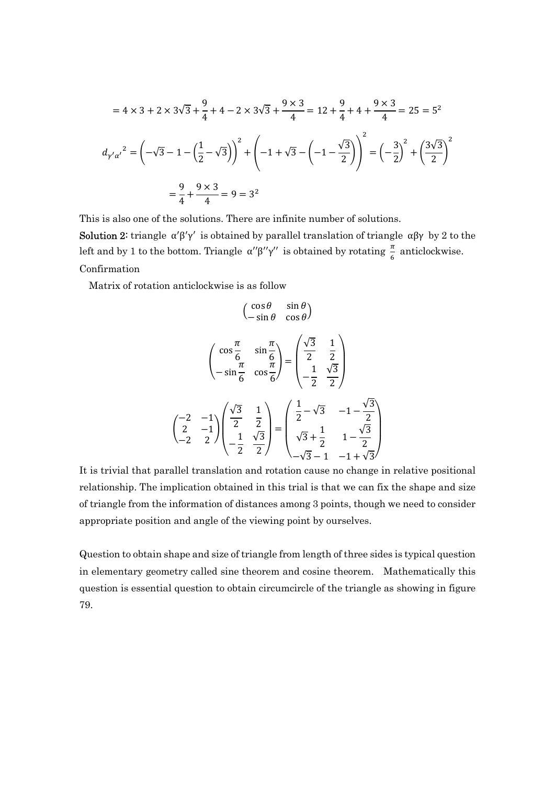$$
= 4 \times 3 + 2 \times 3\sqrt{3} + \frac{9}{4} + 4 - 2 \times 3\sqrt{3} + \frac{9 \times 3}{4} = 12 + \frac{9}{4} + 4 + \frac{9 \times 3}{4} = 25 = 5^2
$$
  

$$
d_{\gamma'\alpha'}^2 = \left(-\sqrt{3} - 1 - \left(\frac{1}{2} - \sqrt{3}\right)\right)^2 + \left(-1 + \sqrt{3} - \left(-1 - \frac{\sqrt{3}}{2}\right)\right)^2 = \left(-\frac{3}{2}\right)^2 + \left(\frac{3\sqrt{3}}{2}\right)^2
$$
  

$$
= \frac{9}{4} + \frac{9 \times 3}{4} = 9 = 3^2
$$

This is also one of the solutions. There are infinite number of solutions.

Solution 2: triangle  $\alpha' \beta' \gamma'$  is obtained by parallel translation of triangle  $\alpha \beta \gamma$  by 2 to the left and by 1 to the bottom. Triangle  $\alpha''\beta''\gamma''$  is obtained by rotating  $\frac{\pi}{6}$  anticlockwise. Confirmation

Matrix of rotation anticlockwise is as follow

$$
\begin{pmatrix}\n\cos \theta & \sin \theta \\
-\sin \theta & \cos \theta\n\end{pmatrix}
$$
\n
$$
\begin{pmatrix}\n\cos \frac{\pi}{6} & \sin \frac{\pi}{6} \\
-\sin \frac{\pi}{6} & \cos \frac{\pi}{6}\n\end{pmatrix} = \begin{pmatrix}\n\frac{\sqrt{3}}{2} & \frac{1}{2} \\
-\frac{1}{2} & \frac{\sqrt{3}}{2}\n\end{pmatrix}
$$
\n
$$
\begin{pmatrix}\n-2 & -1 \\
2 & -1 \\
-2 & 2\n\end{pmatrix} \begin{pmatrix}\n\frac{\sqrt{3}}{2} & \frac{1}{2} \\
-\frac{1}{2} & \frac{\sqrt{3}}{2}\n\end{pmatrix} = \begin{pmatrix}\n\frac{1}{2} - \sqrt{3} & -1 - \frac{\sqrt{3}}{2} \\
\sqrt{3} + \frac{1}{2} & 1 - \frac{\sqrt{3}}{2} \\
-\sqrt{3} - 1 & -1 + \sqrt{3}\n\end{pmatrix}
$$

It is trivial that parallel translation and rotation cause no change in relative positional relationship. The implication obtained in this trial is that we can fix the shape and size of triangle from the information of distances among 3 points, though we need to consider appropriate position and angle of the viewing point by ourselves.

Question to obtain shape and size of triangle from length of three sides is typical question in elementary geometry called sine theorem and cosine theorem. Mathematically this question is essential question to obtain circumcircle of the triangle as showing in figure 79.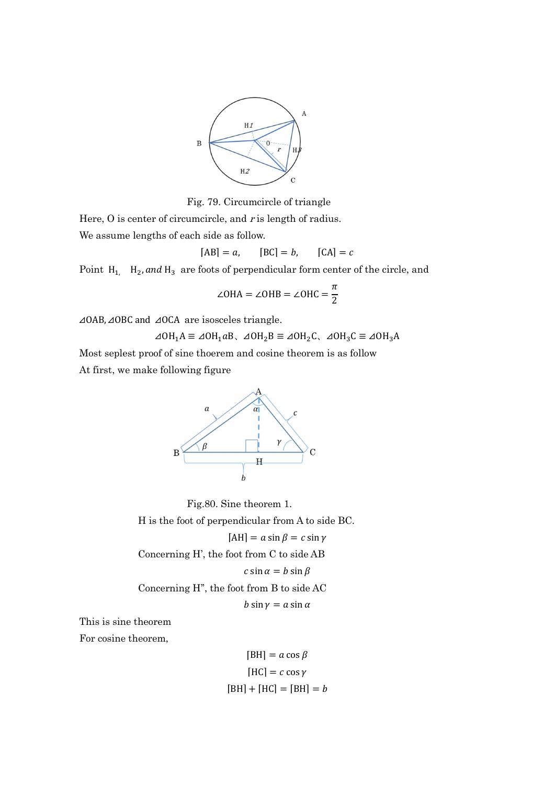

Fig. 79. Circumcircle of triangle

Here,  $\overline{O}$  is center of circumcircle, and r is length of radius. We assume lengths of each side as follow.

 $[AB] = a$ ,  $[BC] = b$ ,  $[CA] = c$ 

Point  $H_1$ ,  $H_2$ , and  $H_3$  are foots of perpendicular form center of the circle, and

$$
\angle
$$
OHA =  $\angle$ OHB =  $\angle$ OHC =  $\frac{\pi}{2}$ 

⊿OAB, ⊿OBC and ⊿OCA are isosceles triangle.

 $\angle AOH_1A \equiv \angle OH_1aB$ ,  $\angle AOH_2B \equiv \angle OH_2C$ ,  $\angle AOH_3C \equiv \angle OH_3A$ 

Most seplest proof of sine thoerem and cosine theorem is as follow At first, we make following figure



 Fig.80. Sine theorem 1. H is the foot of perpendicular from A to side BC.  $[AH] = a \sin \beta = c \sin \gamma$ Concerning H', the foot from C to side AB  $c \sin \alpha = b \sin \beta$ Concerning H'', the foot from B to side AC  $b \sin \gamma = a \sin \alpha$ 

This is sine theorem

For cosine theorem,

$$
[BH] = a \cos \beta
$$

$$
[HC] = c \cos \gamma
$$

$$
[BH] + [HC] = [BH] = b
$$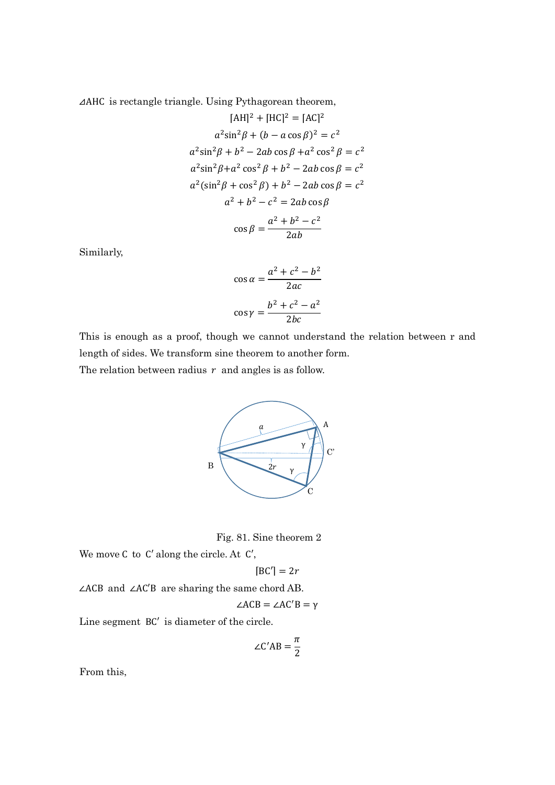⊿AHC is rectangle triangle. Using Pythagorean theorem,

$$
[AH]^2 + [HC]^2 = [AC]^2
$$
  
\n
$$
a^2 \sin^2 \beta + (b - a \cos \beta)^2 = c^2
$$
  
\n
$$
a^2 \sin^2 \beta + b^2 - 2ab \cos \beta + a^2 \cos^2 \beta = c^2
$$
  
\n
$$
a^2 \sin^2 \beta + a^2 \cos^2 \beta + b^2 - 2ab \cos \beta = c^2
$$
  
\n
$$
a^2 (\sin^2 \beta + \cos^2 \beta) + b^2 - 2ab \cos \beta = c^2
$$
  
\n
$$
a^2 + b^2 - c^2 = 2ab \cos \beta
$$
  
\n
$$
\cos \beta = \frac{a^2 + b^2 - c^2}{2ab}
$$

Similarly,

$$
\cos \alpha = \frac{a^2 + c^2 - b^2}{2ac}
$$

$$
\cos \gamma = \frac{b^2 + c^2 - a^2}{2bc}
$$

This is enough as a proof, though we cannot understand the relation between r and length of sides. We transform sine theorem to another form.

The relation between radius  $r$  and angles is as follow.



Fig. 81. Sine theorem 2

We move C to C′ along the circle. At C′,

$$
[BC'] = 2r
$$

∠ACB and ∠AC′B are sharing the same chord AB.

$$
\angle ACB = \angle AC'B = \gamma
$$

Line segment BC′ is diameter of the circle.

$$
\angle C'AB = \frac{\pi}{2}
$$

From this,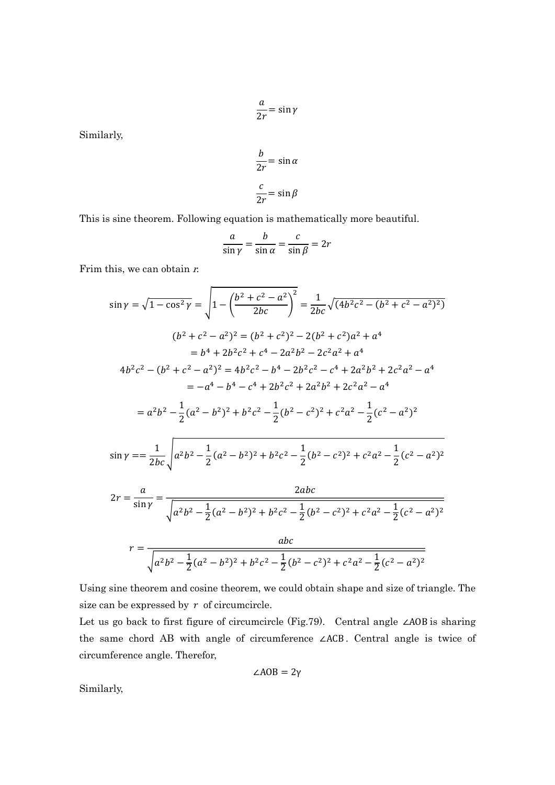$$
\frac{a}{2r} = \sin \gamma
$$

Similarly,

$$
\frac{b}{2r} = \sin \alpha
$$

$$
\frac{c}{2r} = \sin \beta
$$

This is sine theorem. Following equation is mathematically more beautiful.

$$
\frac{a}{\sin \gamma} = \frac{b}{\sin \alpha} = \frac{c}{\sin \beta} = 2r
$$

Frim this, we can obtain  $r$ .

$$
\sin \gamma = \sqrt{1 - \cos^2 \gamma} = \sqrt{1 - \left(\frac{b^2 + c^2 - a^2}{2bc}\right)^2} = \frac{1}{2bc} \sqrt{(4b^2c^2 - (b^2 + c^2 - a^2)^2)}
$$
  

$$
(b^2 + c^2 - a^2)^2 = (b^2 + c^2)^2 - 2(b^2 + c^2)a^2 + a^4
$$

$$
= b^4 + 2b^2c^2 + c^4 - 2a^2b^2 - 2c^2a^2 + a^4
$$

$$
4b^2c^2 - (b^2 + c^2 - a^2)^2 = 4b^2c^2 - b^4 - 2b^2c^2 - c^4 + 2a^2b^2 + 2c^2a^2 - a^4
$$

$$
= -a^4 - b^4 - c^4 + 2b^2c^2 + 2a^2b^2 + 2c^2a^2 - a^4
$$

$$
= a^2b^2 - \frac{1}{2}(a^2 - b^2)^2 + b^2c^2 - \frac{1}{2}(b^2 - c^2)^2 + c^2a^2 - \frac{1}{2}(c^2 - a^2)^2
$$

$$
\sin \gamma = \frac{1}{2} \sqrt{a^2b^2 - \frac{1}{2}(a^2 - b^2)^2 + b^2c^2 - \frac{1}{2}(b^2 - c^2)^2 + c^2a^2 - \frac{1}{2}(c^2 - a^2)^2}
$$

$$
\sin \gamma = \frac{1}{2bc} \sqrt{a^2 b^2 - \frac{1}{2} (a^2 - b^2)^2 + b^2 c^2 - \frac{1}{2} (b^2 - c^2)^2 + c^2 a^2 - \frac{1}{2} (c^2 - a^2)^2}
$$

$$
2r = \frac{a}{\sin\gamma} = \frac{2abc}{\sqrt{a^2b^2 - \frac{1}{2}(a^2 - b^2)^2 + b^2c^2 - \frac{1}{2}(b^2 - c^2)^2 + c^2a^2 - \frac{1}{2}(c^2 - a^2)^2}}
$$

$$
r = \frac{abc}{\sqrt{a^2b^2 - \frac{1}{2}(a^2 - b^2)^2 + b^2c^2 - \frac{1}{2}(b^2 - c^2)^2 + c^2a^2 - \frac{1}{2}(c^2 - a^2)^2}}
$$

Using sine theorem and cosine theorem, we could obtain shape and size of triangle. The size can be expressed by  $r$  of circumcircle.

Let us go back to first figure of circumcircle (Fig.79). Central angle ∠AOB is sharing the same chord AB with angle of circumference ∠ACB . Central angle is twice of circumference angle. Therefor,

$$
\angle AOB = 2\gamma
$$

Similarly,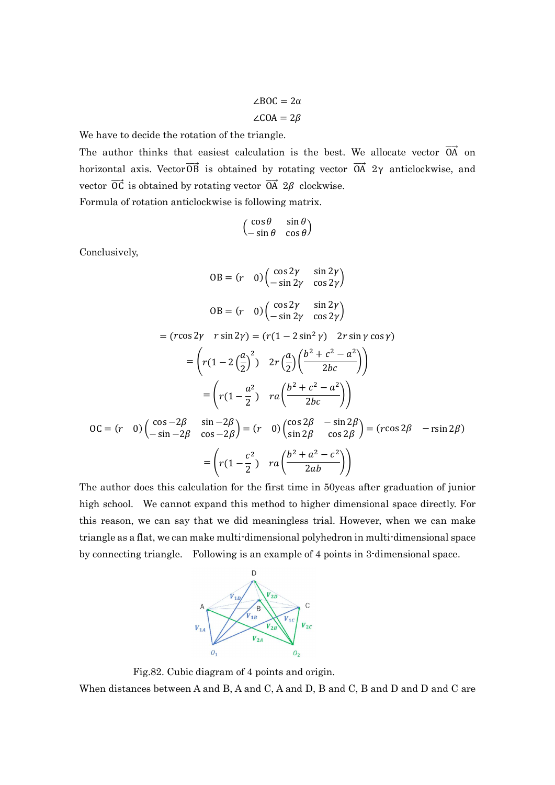$$
\angle BOC = 2\alpha
$$
  

$$
\angle COA = 2\beta
$$

We have to decide the rotation of the triangle.

The author thinks that easiest calculation is the best. We allocate vector  $\overrightarrow{OA}$  on horizontal axis. Vector  $\overrightarrow{OB}$  is obtained by rotating vector  $\overrightarrow{OA}$  2 $\gamma$  anticlockwise, and vector  $\overrightarrow{OC}$  is obtained by rotating vector  $\overrightarrow{OA}$  2 $\beta$  clockwise.

Formula of rotation anticlockwise is following matrix.

$$
\begin{pmatrix}\n\cos\theta & \sin\theta \\
-\sin\theta & \cos\theta\n\end{pmatrix}
$$

Conclusively,

$$
OB = (r \quad 0) \begin{pmatrix} \cos 2\gamma & \sin 2\gamma \\ -\sin 2\gamma & \cos 2\gamma \end{pmatrix}
$$
  
\n
$$
OB = (r \quad 0) \begin{pmatrix} \cos 2\gamma & \sin 2\gamma \\ -\sin 2\gamma & \cos 2\gamma \end{pmatrix}
$$
  
\n
$$
= (r \cos 2\gamma \quad r \sin 2\gamma) = (r(1 - 2 \sin^2 \gamma) \quad 2r \sin \gamma \cos \gamma)
$$
  
\n
$$
= \left(r(1 - 2\left(\frac{a}{2}\right)^2) \quad 2r\left(\frac{a}{2}\right)\left(\frac{b^2 + c^2 - a^2}{2bc}\right)\right)
$$
  
\n
$$
= \left(r(1 - \frac{a^2}{2}) \quad ra\left(\frac{b^2 + c^2 - a^2}{2bc}\right)\right)
$$
  
\n
$$
OC = (r \quad 0) \begin{pmatrix} \cos -2\beta & \sin -2\beta \\ -\sin -2\beta & \cos -2\beta \end{pmatrix} = (r \quad 0) \begin{pmatrix} \cos 2\beta & -\sin 2\beta \\ \sin 2\beta & \cos 2\beta \end{pmatrix} = (r \cos 2\beta \quad -r \sin 2\beta)
$$
  
\n
$$
= \left(r(1 - \frac{c^2}{2}) \quad ra\left(\frac{b^2 + a^2 - c^2}{2ab}\right)\right)
$$

The author does this calculation for the first time in 50yeas after graduation of junior high school. We cannot expand this method to higher dimensional space directly. For this reason, we can say that we did meaningless trial. However, when we can make triangle as a flat, we can make multi-dimensional polyhedron in multi-dimensional space by connecting triangle. Following is an example of 4 points in 3-dimensional space.



 Fig.82. Cubic diagram of 4 points and origin. When distances between A and B, A and C, A and D, B and C, B and D and D and C are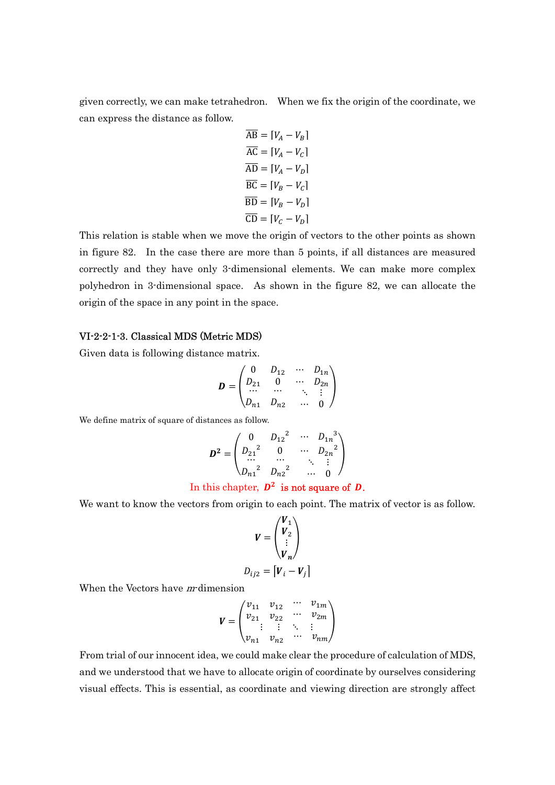given correctly, we can make tetrahedron. When we fix the origin of the coordinate, we can express the distance as follow.

$$
\overline{AB} = [V_A - V_B]
$$
  
\n
$$
\overline{AC} = [V_A - V_C]
$$
  
\n
$$
\overline{AD} = [V_A - V_D]
$$
  
\n
$$
\overline{BC} = [V_B - V_C]
$$
  
\n
$$
\overline{BD} = [V_B - V_D]
$$
  
\n
$$
\overline{CD} = [V_C - V_D]
$$

This relation is stable when we move the origin of vectors to the other points as shown in figure 82. In the case there are more than 5 points, if all distances are measured correctly and they have only 3-dimensional elements. We can make more complex polyhedron in 3-dimensional space. As shown in the figure 82, we can allocate the origin of the space in any point in the space.

## VI-2-2-1-3. Classical MDS (Metric MDS)

Given data is following distance matrix.

$$
\boldsymbol{D} = \begin{pmatrix} 0 & D_{12} & \cdots & D_{1n} \\ D_{21} & 0 & \cdots & D_{2n} \\ \cdots & \cdots & & \ddots & \vdots \\ D_{n1} & D_{n2} & \cdots & 0 \end{pmatrix}
$$

We define matrix of square of distances as follow.

$$
D^{2} = \begin{pmatrix} 0 & D_{12}^{2} & \cdots & D_{1n}^{3} \\ D_{21}^{2} & 0 & \cdots & D_{2n}^{2} \\ \cdots & \cdots & \ddots & \vdots \\ D_{n1}^{2} & D_{n2}^{2} & \cdots & 0 \end{pmatrix}
$$

#### In this chapter,  $D^2$  is not square of D.

We want to know the vectors from origin to each point. The matrix of vector is as follow.

$$
V = \begin{pmatrix} V_1 \\ V_2 \\ \vdots \\ V_n \end{pmatrix}
$$
  

$$
D_{ij2} = [V_i - V_j]
$$

When the Vectors have *m*-dimension

$$
V = \begin{pmatrix} v_{11} & v_{12} & \cdots & v_{1m} \\ v_{21} & v_{22} & \cdots & v_{2m} \\ \vdots & \vdots & \ddots & \vdots \\ v_{n1} & v_{n2} & \cdots & v_{nm} \end{pmatrix}
$$

From trial of our innocent idea, we could make clear the procedure of calculation of MDS, and we understood that we have to allocate origin of coordinate by ourselves considering visual effects. This is essential, as coordinate and viewing direction are strongly affect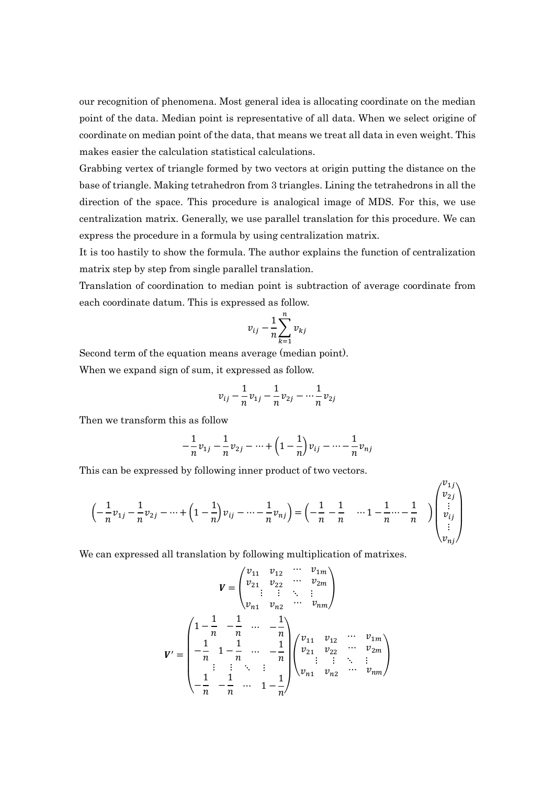our recognition of phenomena. Most general idea is allocating coordinate on the median point of the data. Median point is representative of all data. When we select origine of coordinate on median point of the data, that means we treat all data in even weight. This makes easier the calculation statistical calculations.

Grabbing vertex of triangle formed by two vectors at origin putting the distance on the base of triangle. Making tetrahedron from 3 triangles. Lining the tetrahedrons in all the direction of the space. This procedure is analogical image of MDS. For this, we use centralization matrix. Generally, we use parallel translation for this procedure. We can express the procedure in a formula by using centralization matrix.

It is too hastily to show the formula. The author explains the function of centralization matrix step by step from single parallel translation.

Translation of coordination to median point is subtraction of average coordinate from each coordinate datum. This is expressed as follow.

$$
v_{ij} - \frac{1}{n} \sum_{k=1}^n v_{kj}
$$

Second term of the equation means average (median point).

When we expand sign of sum, it expressed as follow.

$$
v_{ij} - \frac{1}{n}v_{1j} - \frac{1}{n}v_{2j} - \dots - \frac{1}{n}v_{2j}
$$

Then we transform this as follow

$$
-\frac{1}{n}v_{1j} - \frac{1}{n}v_{2j} - \dots + \left(1 - \frac{1}{n}\right)v_{ij} - \dots - \frac{1}{n}v_{nj}
$$

 $\mathcal{V}_{1}$  is

This can be expressed by following inner product of two vectors.

$$
\left(-\frac{1}{n}v_{1j} - \frac{1}{n}v_{2j} - \dots + \left(1 - \frac{1}{n}\right)v_{ij} - \dots - \frac{1}{n}v_{nj}\right) = \left(-\frac{1}{n} - \frac{1}{n} - \dots - \frac{1}{n} - \dots - \frac{1}{n}\right)\begin{pmatrix}v_{1j} \\ v_{2j} \\ \vdots \\ v_{nj}\end{pmatrix}
$$

We can expressed all translation by following multiplication of matrixes.

$$
V = \begin{pmatrix} v_{11} & v_{12} & \cdots & v_{1m} \\ v_{21} & v_{22} & \cdots & v_{2m} \\ \vdots & \vdots & \ddots & \vdots \\ v_{n1} & v_{n2} & \cdots & v_{nm} \end{pmatrix}
$$

$$
V' = \begin{pmatrix} 1 - \frac{1}{n} & -\frac{1}{n} & \cdots & -\frac{1}{n} \\ -\frac{1}{n} & 1 - \frac{1}{n} & \cdots & -\frac{1}{n} \\ \vdots & \vdots & \ddots & \vdots \\ -\frac{1}{n} & -\frac{1}{n} & \cdots & 1 - \frac{1}{n} \end{pmatrix} \begin{pmatrix} v_{11} & v_{12} & \cdots & v_{1m} \\ v_{21} & v_{22} & \cdots & v_{2m} \\ \vdots & \vdots & \ddots & \vdots \\ v_{n1} & v_{n2} & \cdots & v_{nm} \end{pmatrix}
$$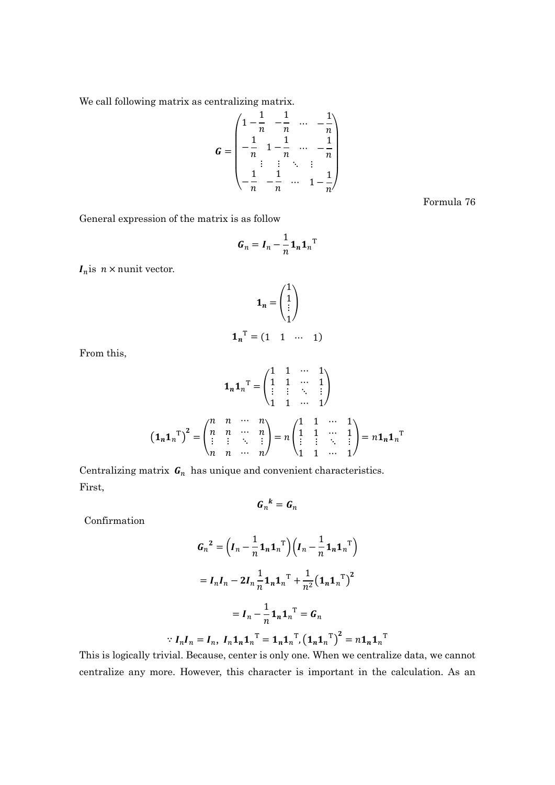We call following matrix as centralizing matrix.

$$
G = \begin{pmatrix} 1 - \frac{1}{n} & -\frac{1}{n} & \cdots & -\frac{1}{n} \\ -\frac{1}{n} & 1 - \frac{1}{n} & \cdots & -\frac{1}{n} \\ \vdots & \vdots & \ddots & \vdots \\ -\frac{1}{n} & -\frac{1}{n} & \cdots & 1 - \frac{1}{n} \end{pmatrix}
$$

Formula 76

General expression of the matrix is as follow

$$
G_n = I_n - \frac{1}{n} \mathbf{1}_n \mathbf{1}_n^{\mathrm{T}}
$$

 $I_n$  is  $n \times$  nunit vector.

$$
\mathbf{1}_n = \begin{pmatrix} 1 \\ 1 \\ \vdots \\ 1 \end{pmatrix}
$$

$$
\mathbf{1_n}^{\mathrm{T}} = \begin{pmatrix} 1 & 1 & \cdots & 1 \end{pmatrix}
$$

From this,

$$
\mathbf{1}_{n}\mathbf{1}_{n}^{\mathrm{T}} = \begin{pmatrix} 1 & 1 & \cdots & 1 \\ 1 & 1 & \cdots & 1 \\ \vdots & \vdots & \ddots & \vdots \\ 1 & 1 & \cdots & 1 \end{pmatrix}
$$

$$
\left(\mathbf{1}_{n}\mathbf{1}_{n}^{\mathrm{T}}\right)^{2} = \begin{pmatrix} n & n & \cdots & n \\ n & n & \cdots & n \\ \vdots & \vdots & \ddots & \vdots \\ n & n & \cdots & n \end{pmatrix} = n \begin{pmatrix} 1 & 1 & \cdots & 1 \\ 1 & 1 & \cdots & 1 \\ \vdots & \vdots & \ddots & \vdots \\ 1 & 1 & \cdots & 1 \end{pmatrix} = n \mathbf{1}_{n}\mathbf{1}_{n}^{\mathrm{T}}
$$

Centralizing matrix  $\boldsymbol{G}_n$  has unique and convenient characteristics. First,

$$
G_n{}^k = G_n
$$

Confirmation

$$
G_n^2 = \left(I_n - \frac{1}{n} \mathbf{1}_n \mathbf{1}_n^T\right) \left(I_n - \frac{1}{n} \mathbf{1}_n \mathbf{1}_n^T\right)
$$

$$
= I_n I_n - 2I_n \frac{1}{n} \mathbf{1}_n \mathbf{1}_n^T + \frac{1}{n^2} \left(\mathbf{1}_n \mathbf{1}_n^T\right)^2
$$

$$
= I_n - \frac{1}{n} \mathbf{1}_n \mathbf{1}_n^T = G_n
$$

$$
\because I_n I_n = I_n, I_n \mathbf{1}_n \mathbf{1}_n^\mathrm{T} = \mathbf{1}_n \mathbf{1}_n^\mathrm{T}, \left(\mathbf{1}_n \mathbf{1}_n^\mathrm{T}\right)^2 = n \mathbf{1}_n \mathbf{1}_n^\mathrm{T}
$$

This is logically trivial. Because, center is only one. When we centralize data, we cannot centralize any more. However, this character is important in the calculation. As an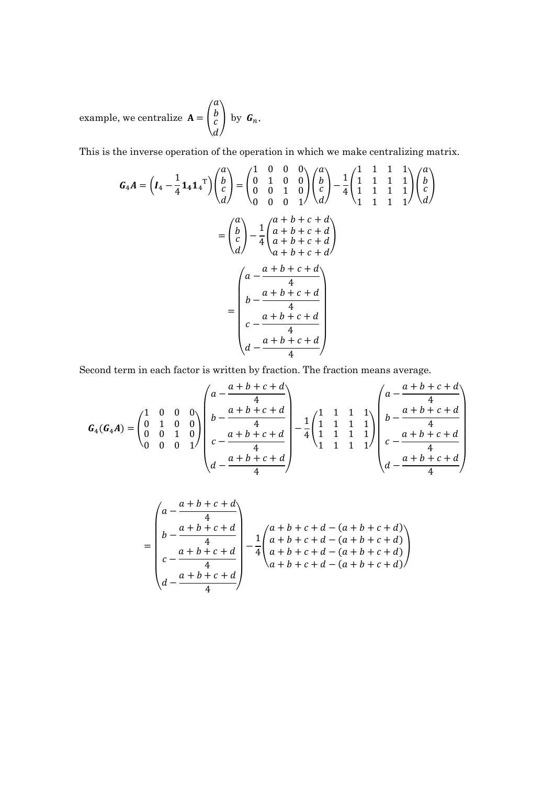example, we centralize  $A = \begin{pmatrix} 1 \\ 2 \end{pmatrix}$  $\boldsymbol{a}$  $\boldsymbol{b}$  $\overline{c}$  $\boldsymbol{d}$  $\big|$  by  $G_n$ .

This is the inverse operation of the operation in which we make centralizing matrix.

$$
G_4A = \left(I_4 - \frac{1}{4}\mathbf{1}_4\mathbf{1}_4^T\right)\begin{pmatrix} a \\ b \\ c \\ d \end{pmatrix} = \begin{pmatrix} 1 & 0 & 0 & 0 \\ 0 & 1 & 0 & 0 \\ 0 & 0 & 1 & 0 \\ 0 & 0 & 0 & 1 \end{pmatrix}\begin{pmatrix} a \\ b \\ c \\ d \end{pmatrix} - \frac{1}{4}\begin{pmatrix} 1 & 1 & 1 & 1 \\ 1 & 1 & 1 & 1 \\ 1 & 1 & 1 & 1 \end{pmatrix}\begin{pmatrix} a \\ b \\ c \\ d \end{pmatrix}
$$

$$
= \begin{pmatrix} a \\ b \\ c \\ d \end{pmatrix} - \frac{1}{4}\begin{pmatrix} a+b+c+d \\ a+b+c+d \\ a+b+c+d \\ a+b+c+d \end{pmatrix}
$$

$$
= \begin{pmatrix} a - \frac{a+b+c+d}{4} \\ b - \frac{a+b+c+d}{4} \\ c - \frac{a+b+c+d}{4} \\ d - \frac{a+b+c+d}{4} \end{pmatrix}
$$

Second term in each factor is written by fraction. The fraction means average.

$$
G_{4}(G_{4}A) = \begin{pmatrix} 1 & 0 & 0 & 0 \\ 0 & 1 & 0 & 0 \\ 0 & 0 & 1 & 0 \\ 0 & 0 & 0 & 1 \end{pmatrix} \begin{pmatrix} a - \frac{a+b+c+d}{4} \\ b - \frac{a+b+c+d}{4} \\ c - \frac{a+b+c+d}{4} \\ d - \frac{a+b+c+d}{4} \end{pmatrix} - \frac{1}{4} \begin{pmatrix} 1 & 1 & 1 & 1 \\ 1 & 1 & 1 & 1 \\ 1 & 1 & 1 & 1 \\ 1 & 1 & 1 & 1 \end{pmatrix} \begin{pmatrix} a - \frac{a+b+c+d}{4} \\ b - \frac{a+b+c+d}{4} \\ c - \frac{a+b+c+d}{4} \\ d - \frac{a+b+c+d}{4} \end{pmatrix}
$$

$$
= \begin{pmatrix} a - \frac{a+b+c+d}{4} \\ b - \frac{a+b+c+d}{4} \\ c - \frac{a+b+c+d}{4} \\ d - \frac{a+b+c+d}{4} \end{pmatrix} - \frac{1}{4} \begin{pmatrix} a+b+c+d-(a+b+c+d) \\ a+b+c+d-(a+b+c+d) \\ a+b+c+d-(a+b+c+d) \\ a+b+c+d-(a+b+c+d) \end{pmatrix}
$$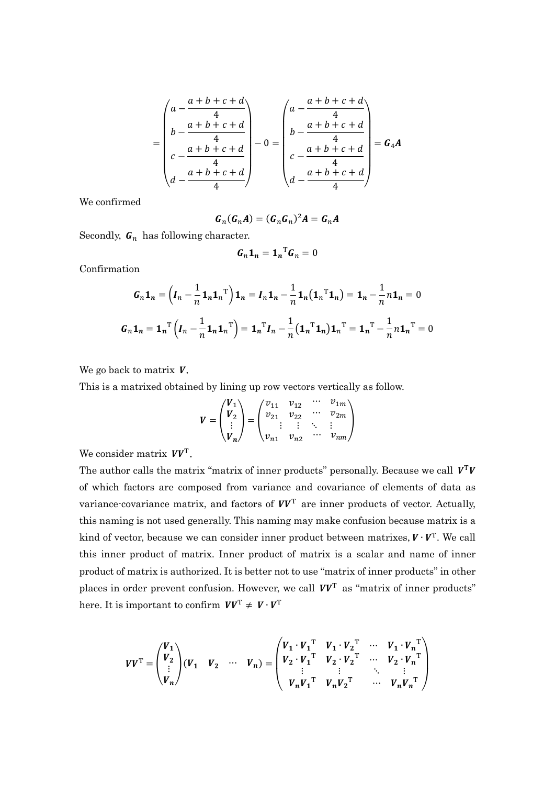$$
= \begin{pmatrix} a - \frac{a+b+c+d}{4} \\ b - \frac{a+b+c+d}{4} \\ c - \frac{a+b+c+d}{4} \\ d - \frac{a+b+c+d}{4} \end{pmatrix} - 0 = \begin{pmatrix} a - \frac{a+b+c+d}{4} \\ b - \frac{a+b+c+d}{4} \\ c - \frac{a+b+c+d}{4} \\ d - \frac{a+b+c+d}{4} \end{pmatrix} = G_4 A
$$

We confirmed

$$
G_n(G_nA) = (G_nG_n)^2A = G_nA
$$

Secondly,  $G_n$  has following character.

$$
G_n \mathbf{1}_n = \mathbf{1}_n^{\mathrm{T}} G_n = 0
$$

Confirmation

$$
G_n \mathbf{1}_n = \left(I_n - \frac{1}{n} \mathbf{1}_n \mathbf{1}_n^T\right) \mathbf{1}_n = I_n \mathbf{1}_n - \frac{1}{n} \mathbf{1}_n \left(\mathbf{1}_n^T \mathbf{1}_n\right) = \mathbf{1}_n - \frac{1}{n} n \mathbf{1}_n = 0
$$
  

$$
G_n \mathbf{1}_n = \mathbf{1}_n^T \left(I_n - \frac{1}{n} \mathbf{1}_n \mathbf{1}_n^T\right) = \mathbf{1}_n^T I_n - \frac{1}{n} \left(\mathbf{1}_n^T \mathbf{1}_n\right) \mathbf{1}_n^T = \mathbf{1}_n^T - \frac{1}{n} n \mathbf{1}_n^T = 0
$$

We go back to matrix  $V$ .

This is a matrixed obtained by lining up row vectors vertically as follow.

$$
V = \begin{pmatrix} V_1 \\ V_2 \\ \vdots \\ V_n \end{pmatrix} = \begin{pmatrix} v_{11} & v_{12} & \cdots & v_{1m} \\ v_{21} & v_{22} & \cdots & v_{2m} \\ \vdots & \vdots & \ddots & \vdots \\ v_{n1} & v_{n2} & \cdots & v_{nm} \end{pmatrix}
$$

We consider matrix  $VV<sup>T</sup>$ .

The author calls the matrix "matrix of inner products" personally. Because we call  $V^{T}V$ of which factors are composed from variance and covariance of elements of data as variance-covariance matrix, and factors of  $VV<sup>T</sup>$  are inner products of vector. Actually, this naming is not used generally. This naming may make confusion because matrix is a kind of vector, because we can consider inner product between matrixes,  $V \cdot V^{T}$ . We call this inner product of matrix. Inner product of matrix is a scalar and name of inner product of matrix is authorized. It is better not to use "matrix of inner products" in other places in order prevent confusion. However, we call  $VV<sup>T</sup>$  as "matrix of inner products" here. It is important to confirm  $VV^T \neq V \cdot V^T$ 

$$
V V^{\mathrm{T}} = \begin{pmatrix} V_1 \\ V_2 \\ \vdots \\ V_n \end{pmatrix} (V_1 \quad V_2 \quad \cdots \quad V_n) = \begin{pmatrix} V_1 \cdot V_1^{\mathrm{T}} & V_1 \cdot V_2^{\mathrm{T}} & \cdots & V_1 \cdot V_n^{\mathrm{T}} \\ V_2 \cdot V_1^{\mathrm{T}} & V_2 \cdot V_2^{\mathrm{T}} & \cdots & V_2 \cdot V_n^{\mathrm{T}} \\ \vdots & \vdots & \ddots & \vdots \\ V_n V_1^{\mathrm{T}} & V_n V_2^{\mathrm{T}} & \cdots & V_n V_n^{\mathrm{T}} \end{pmatrix}
$$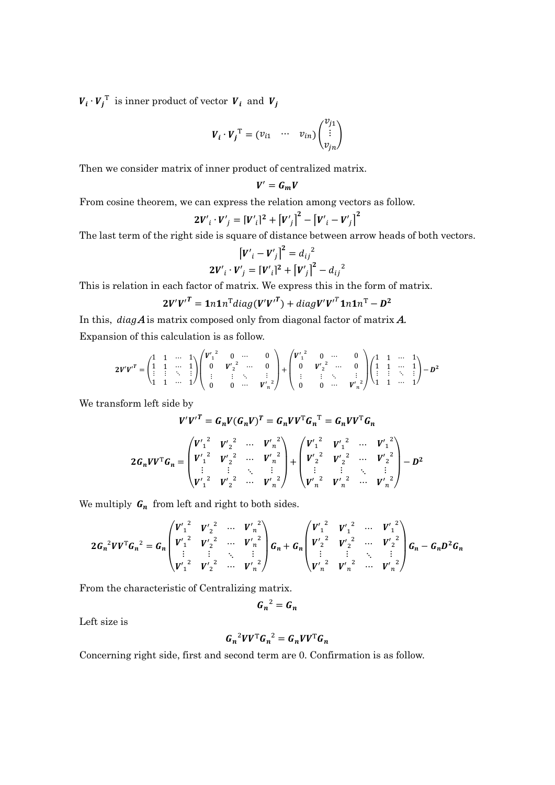$V_i \cdot V_j^{\mathrm{T}}$  is inner product of vector  $V_i$  and  $V_j$ 

$$
\boldsymbol{V}_i \cdot \boldsymbol{V}_j^\mathrm{T} = \begin{pmatrix} v_{i1} & \cdots & v_{in} \end{pmatrix} \begin{pmatrix} v_{j1} \\ \vdots \\ v_{jn} \end{pmatrix}
$$

Then we consider matrix of inner product of centralized matrix.

$$
V'=G_mV
$$

From cosine theorem, we can express the relation among vectors as follow.

$$
2V'_{i} \cdot V'_{j} = [V'_{i}]^{2} + [V'_{j}]^{2} - [V'_{i} - V'_{j}]^{2}
$$

The last term of the right side is square of distance between arrow heads of both vectors.

$$
[V'_{i} - V'_{j}]^{2} = d_{ij}^{2}
$$
  

$$
2V'_{i} \cdot V'_{j} = [V'_{i}]^{2} + [V'_{j}]^{2} - d_{ij}^{2}
$$

This is relation in each factor of matrix. We express this in the form of matrix.

$$
2V'V'^{T} = 1n1n^{T}diag(V'V'^{T}) + diagV'V'^{T}1n1n^{T} - D^{2}
$$

In this,  $diag A$  is matrix composed only from diagonal factor of matrix  $A$ . Expansion of this calculation is as follow.

$$
2V'V'^{T} = \begin{pmatrix} 1 & 1 & \cdots & 1 \\ 1 & 1 & \cdots & 1 \\ \vdots & \vdots & \ddots & \vdots \\ 1 & 1 & \cdots & 1 \end{pmatrix} \begin{pmatrix} V'_{1}^{2} & 0 & \cdots & 0 \\ 0 & V'_{2}^{2} & \cdots & 0 \\ \vdots & \vdots & \ddots & \vdots \\ 0 & 0 & \cdots & V'_{n} \end{pmatrix} + \begin{pmatrix} V'_{1}^{2} & 0 & \cdots & 0 \\ 0 & V'_{2}^{2} & \cdots & 0 \\ \vdots & \vdots & \ddots & \vdots \\ 0 & 0 & \cdots & V'_{n} \end{pmatrix} \begin{pmatrix} 1 & 1 & \cdots & 1 \\ 1 & 1 & \cdots & 1 \\ \vdots & \vdots & \ddots & \vdots \\ 1 & 1 & \cdots & 1 \end{pmatrix} - D^{2}
$$

We transform left side by

$$
V'V'^T = G_n V(G_n V)^T = G_n V V^T G_n^T = G_n V V^T G_n
$$

$$
2G_nVV^{\mathrm{T}}G_n = \begin{pmatrix} V'_1{}^2 & V'_2{}^2 & \cdots & V'_n{}^2 \\ V'_1{}^2 & V'_2{}^2 & \cdots & V'_n{}^2 \\ \vdots & \vdots & \ddots & \vdots \\ V'_1{}^2 & V'_2{}^2 & \cdots & V'_n{}^2 \end{pmatrix} + \begin{pmatrix} V'_1{}^2 & V'_1{}^2 & \cdots & V'_1{}^2 \\ V'_2{}^2 & V'_2{}^2 & \cdots & V'_2{}^2 \\ \vdots & \vdots & \ddots & \vdots \\ V'_n{}^2 & V'_n{}^2 & \cdots & V'_n{}^2 \end{pmatrix} - D^2
$$

We multiply  $G_n$  from left and right to both sides.

$$
2G_n^2VV^T G_n^2 = G_n \begin{pmatrix} V'_1^2 & V'_2^2 & \cdots & V'_n^2 \\ V'_1^2 & V'_2^2 & \cdots & V'_n^2 \\ \vdots & \vdots & \ddots & \vdots \\ V'_1^2 & V'_2^2 & \cdots & V'_n^2 \end{pmatrix} G_n + G_n \begin{pmatrix} V'_1^2 & V'_1^2 & \cdots & V'_1^2 \\ V'_2^2 & V'_2^2 & \cdots & V'_2^2 \\ \vdots & \vdots & \ddots & \vdots \\ V'_n^2 & V'_n^2 & \cdots & V'_n^2 \end{pmatrix} G_n - G_n D^2 G_n
$$

From the characteristic of Centralizing matrix.

$$
G_n^2 = G_n
$$

Left size is

$$
G_n^2 V V^{\mathrm{T}} G_n^2 = G_n V V^{\mathrm{T}} G_n
$$

Concerning right side, first and second term are 0. Confirmation is as follow.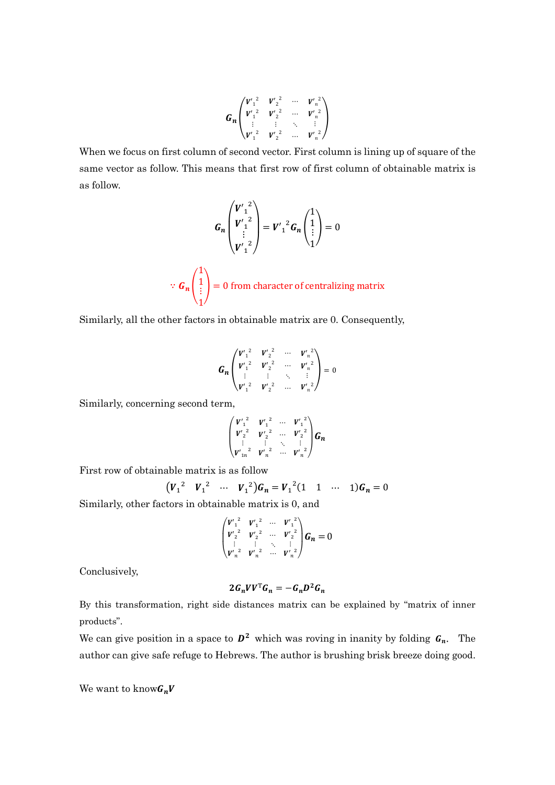$$
G_n\begin{pmatrix}v'_1{}^2 & v'_2{}^2 & \cdots & v'_n{}^2\\v'_1{}^2 & v'_2{}^2 & \cdots & v'_n{}^2\\ \vdots & \vdots & \ddots & \vdots\\v'_1{}^2 & v'_2{}^2 & \cdots & v'_n{}^2\end{pmatrix}
$$

When we focus on first column of second vector. First column is lining up of square of the same vector as follow. This means that first row of first column of obtainable matrix is as follow.

$$
G_n\begin{pmatrix}V'_1{}^2\\V'_1{}^2\\ \vdots\\V'_1{}^2\end{pmatrix}=V'_1{}^2G_n\begin{pmatrix}1\\1\\ \vdots\\1\end{pmatrix}=0
$$

 $\because G_n$  | 1 1 ⋮ 1  $\vert$  = 0 from character of centralizing matrix

Similarly, all the other factors in obtainable matrix are 0. Consequently,

$$
G_n\begin{pmatrix}V'_{1}^{2} & V'_{2}^{2} & \cdots & V'_{n}^{2}\\ V'_{1}^{2} & V'_{2}^{2} & \cdots & V'_{n}^{2}\\ \vdots & \vdots & \ddots & \vdots\\ V'_{1}^{2} & V'_{2}^{2} & \cdots & V'_{n}^{2}\end{pmatrix}=0
$$

Similarly, concerning second term,

$$
\begin{pmatrix} V_1^{'2} & V_1^{'2} & \cdots & V_1^{'2} \\ V_2^{'2} & V_2^{'2} & \cdots & V_2^{'2} \\ \vdots & \vdots & \ddots & \vdots \\ V_{1n}^{'2} & V_n^{'2} & \cdots & V_n^{'2} \end{pmatrix} G_n
$$

First row of obtainable matrix is as follow

$$
(V_1^2 \t V_1^2 \t \cdots \t V_1^2)G_n = V_1^2(1 \t 1 \t \cdots \t 1)G_n = 0
$$

Similarly, other factors in obtainable matrix is 0, and

$$
\begin{pmatrix} V'_{1}^{2} & V'_{1}^{2} & \cdots & V'_{1}^{2} \\ V'_{2}^{2} & V'_{2}^{2} & \cdots & V'_{2}^{2} \\ \vdots & \vdots & \ddots & \vdots \\ V'_{n}^{2} & V'_{n}^{2} & \cdots & V'_{n}^{2} \end{pmatrix} G_{n} = 0
$$

Conclusively,

$$
2G_nVV^{\mathrm{T}}G_n=-G_nD^2G_n
$$

By this transformation, right side distances matrix can be explained by "matrix of inner products".

We can give position in a space to  $D^2$  which was roving in inanity by folding  $G_n$ . The author can give safe refuge to Hebrews. The author is brushing brisk breeze doing good.

We want to know  $G_nV$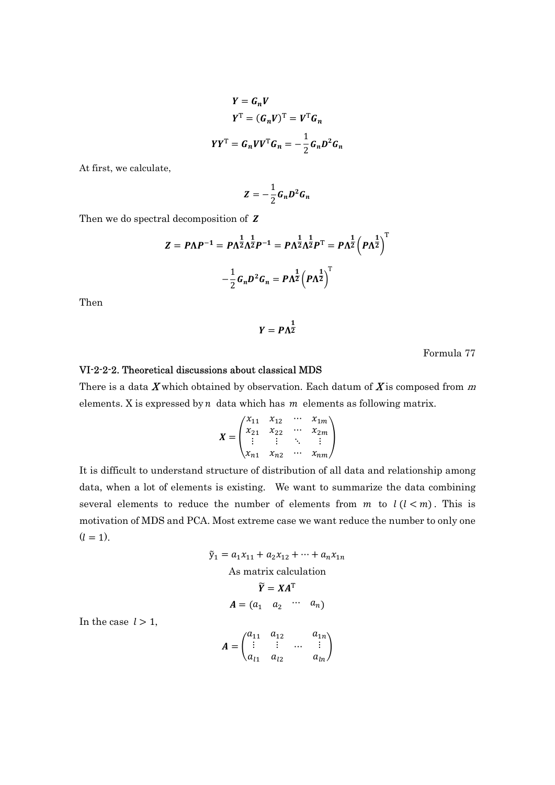$$
Y = G_n V
$$
  
\n
$$
Y^{\mathrm{T}} = (G_n V)^{\mathrm{T}} = V^{\mathrm{T}} G_n
$$
  
\n
$$
Y Y^{\mathrm{T}} = G_n V V^{\mathrm{T}} G_n = -\frac{1}{2} G_n D^2 G_n
$$

At first, we calculate,

$$
Z=-\frac{1}{2}G_nD^2G_n
$$

Then we do spectral decomposition of Z

$$
Z = P\Lambda P^{-1} = P\Lambda^{\frac{1}{2}}\Lambda^{\frac{1}{2}}P^{-1} = P\Lambda^{\frac{1}{2}}\Lambda^{\frac{1}{2}}P^{T} = P\Lambda^{\frac{1}{2}}\left(P\Lambda^{\frac{1}{2}}\right)^{T}
$$

$$
-\frac{1}{2}G_{n}D^{2}G_{n} = P\Lambda^{\frac{1}{2}}\left(P\Lambda^{\frac{1}{2}}\right)^{T}
$$

Then

$$
Y = P\Lambda^{\frac{1}{2}}
$$

Formula 77

#### VI-2-2-2. Theoretical discussions about classical MDS

There is a data  $X$  which obtained by observation. Each datum of  $X$  is composed from  $m$ elements. X is expressed by  $n$  data which has  $m$  elements as following matrix.

$$
X = \begin{pmatrix} x_{11} & x_{12} & \cdots & x_{1m} \\ x_{21} & x_{22} & \cdots & x_{2m} \\ \vdots & \vdots & \ddots & \vdots \\ x_{n1} & x_{n2} & \cdots & x_{nm} \end{pmatrix}
$$

It is difficult to understand structure of distribution of all data and relationship among data, when a lot of elements is existing. We want to summarize the data combining several elements to reduce the number of elements from  $m$  to  $l(l < m)$ . This is motivation of MDS and PCA. Most extreme case we want reduce the number to only one  $(l = 1)$ .

$$
\tilde{y}_1 = a_1 x_{11} + a_2 x_{12} + \dots + a_n x_{1n}
$$
  
As matrix calculation  

$$
\tilde{Y} = X A^T
$$
  

$$
A = (a_1 \quad a_2 \quad \cdots \quad a_n)
$$

In the case  $l > 1$ ,

$$
A = \begin{pmatrix} a_{11} & a_{12} & a_{1n} \\ \vdots & \vdots & \dots & \vdots \\ a_{l1} & a_{l2} & a_{ln} \end{pmatrix}
$$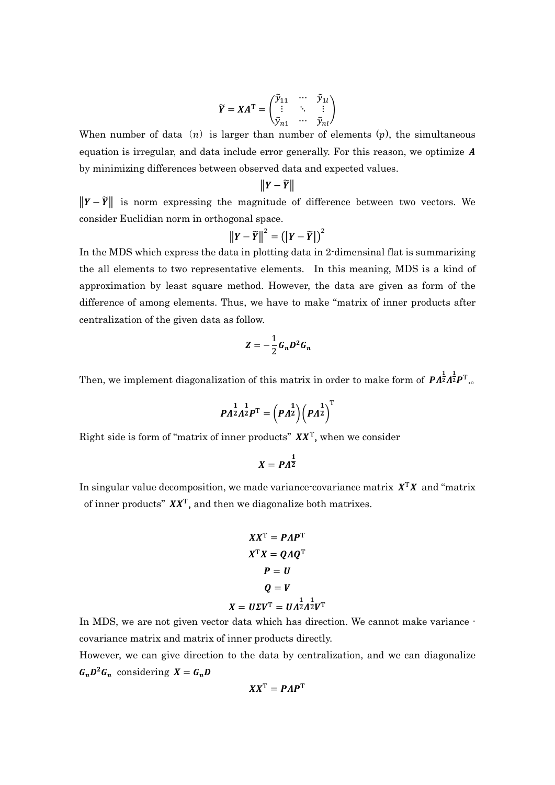$$
\widetilde{Y} = XA^{\mathrm{T}} = \begin{pmatrix} \widetilde{y}_{11} & \cdots & \widetilde{y}_{1l} \\ \vdots & \ddots & \vdots \\ \widetilde{y}_{n1} & \cdots & \widetilde{y}_{nl} \end{pmatrix}
$$

When number of data  $(n)$  is larger than number of elements  $(p)$ , the simultaneous equation is irregular, and data include error generally. For this reason, we optimize  $A$ by minimizing differences between observed data and expected values.

$$
\|Y-\widetilde{Y}\|
$$

 $\|\mathbf{Y}-\widetilde{\mathbf{Y}}\|$  is norm expressing the magnitude of difference between two vectors. We consider Euclidian norm in orthogonal space.

$$
\|\mathbf{Y}-\widetilde{\mathbf{Y}}\|^2=\left(\left[\mathbf{Y}-\widetilde{\mathbf{Y}}\right]\right)^2
$$

In the MDS which express the data in plotting data in 2-dimensinal flat is summarizing the all elements to two representative elements. In this meaning, MDS is a kind of approximation by least square method. However, the data are given as form of the difference of among elements. Thus, we have to make "matrix of inner products after centralization of the given data as follow.

$$
Z=-\frac{1}{2}G_nD^2G_n
$$

Then, we implement diagonalization of this matrix in order to make form of  $\mathbf{P} A^{\frac{1}{2}}A^{\frac{1}{2}}\mathbf{P}^{\mathrm{T}}$ .

$$
PA^{\tfrac{1}{2}}\Lambda^{\tfrac{1}{2}}P^{\mathrm{T}}=\left(PA^{\tfrac{1}{2}}\right)\left(PA^{\tfrac{1}{2}}\right)^{\mathrm{T}}
$$

Right side is form of "matrix of inner products"  $XX<sup>T</sup>$ , when we consider

$$
X = P A^{\frac{1}{2}}
$$

In singular value decomposition, we made variance-covariance matrix  $X<sup>T</sup>X$  and "matrix of inner products"  $XX<sup>T</sup>$ , and then we diagonalize both matrixes.

$$
XX^{T} = PAP^{T}
$$

$$
X^{T}X = QAQ^{T}
$$

$$
P = U
$$

$$
Q = V
$$

$$
X = U\Sigma V^{T} = UA^{\frac{1}{2}}A^{\frac{1}{2}}V^{T}
$$

In MDS, we are not given vector data which has direction. We cannot make variance covariance matrix and matrix of inner products directly.

However, we can give direction to the data by centralization, and we can diagonalize  $G_n D^2 G_n$  considering  $X = G_n D$ 

$$
XX^{\mathrm{T}} = PAP^{\mathrm{T}}
$$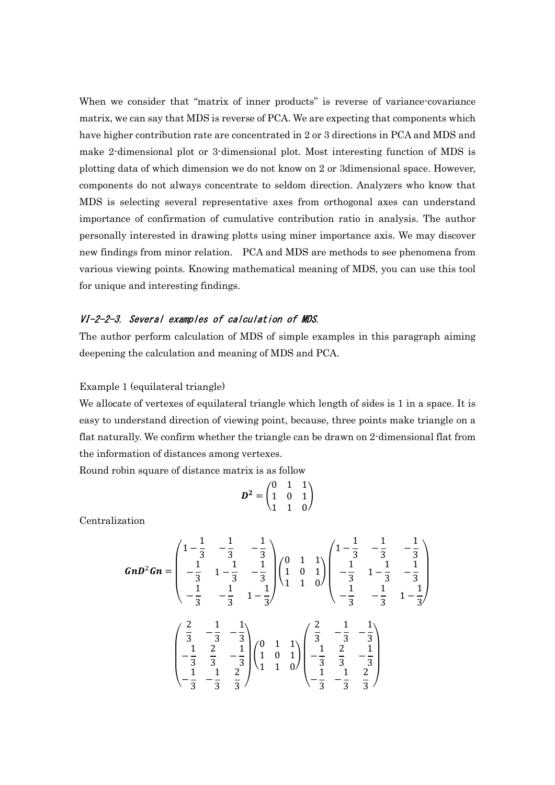When we consider that "matrix of inner products" is reverse of variance-covariance matrix, we can say that MDS is reverse of PCA. We are expecting that components which have higher contribution rate are concentrated in 2 or 3 directions in PCA and MDS and make 2-dimensional plot or 3-dimensional plot. Most interesting function of MDS is plotting data of which dimension we do not know on 2 or 3dimensional space. However, components do not always concentrate to seldom direction. Analyzers who know that MDS is selecting several representative axes from orthogonal axes can understand importance of confirmation of cumulative contribution ratio in analysis. The author personally interested in drawing plotts using miner importance axis. We may discover new findings from minor relation. PCA and MDS are methods to see phenomena from various viewing points. Knowing mathematical meaning of MDS, you can use this tool for unique and interesting findings.

### VI-2-2-3. Several examples of calculation of MDS.

The author perform calculation of MDS of simple examples in this paragraph aiming deepening the calculation and meaning of MDS and PCA.

#### Example 1 (equilateral triangle)

We allocate of vertexes of equilateral triangle which length of sides is 1 in a space. It is easy to understand direction of viewing point, because, three points make triangle on a flat naturally. We confirm whether the triangle can be drawn on 2-dimensional flat from the information of distances among vertexes.

Round robin square of distance matrix is as follow

$$
D^2 = \begin{pmatrix} 0 & 1 & 1 \\ 1 & 0 & 1 \\ 1 & 1 & 0 \end{pmatrix}
$$

Centralization

$$
GnD^{2}Gn = \begin{pmatrix} 1 - \frac{1}{3} & -\frac{1}{3} & -\frac{1}{3} \\ -\frac{1}{3} & 1 - \frac{1}{3} & -\frac{1}{3} \\ -\frac{1}{3} & -\frac{1}{3} & 1 - \frac{1}{3} \end{pmatrix} \begin{pmatrix} 0 & 1 & 1 \\ 1 & 0 & 1 \\ 1 & 1 & 0 \end{pmatrix} \begin{pmatrix} 1 - \frac{1}{3} & -\frac{1}{3} & -\frac{1}{3} \\ -\frac{1}{3} & 1 - \frac{1}{3} & -\frac{1}{3} \\ -\frac{1}{3} & -\frac{1}{3} & 1 - \frac{1}{3} \end{pmatrix}
$$

$$
\begin{pmatrix} \frac{2}{3} & -\frac{1}{3} & -\frac{1}{3} \\ -\frac{1}{3} & \frac{2}{3} & -\frac{1}{3} \\ -\frac{1}{3} & \frac{2}{3} & -\frac{1}{3} \end{pmatrix} \begin{pmatrix} 0 & 1 & 1 \\ 1 & 0 & 1 \\ 1 & 1 & 0 \end{pmatrix} \begin{pmatrix} \frac{2}{3} & -\frac{1}{3} & -\frac{1}{3} \\ -\frac{1}{3} & \frac{2}{3} & -\frac{1}{3} \\ -\frac{1}{3} & -\frac{1}{3} & \frac{2}{3} \end{pmatrix}
$$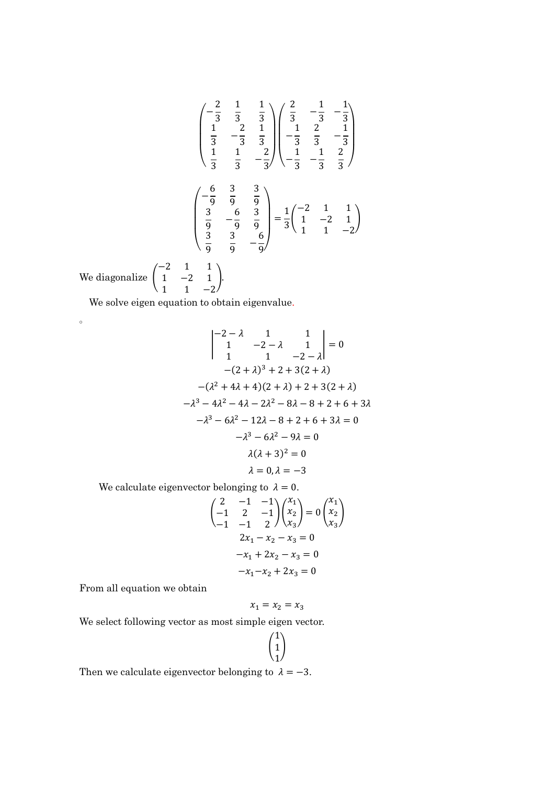$$
\begin{pmatrix}\n-\frac{2}{3} & \frac{1}{3} & \frac{1}{3} \\
\frac{1}{3} & -\frac{2}{3} & \frac{1}{3} \\
\frac{1}{3} & \frac{1}{3} & -\frac{2}{3}\n\end{pmatrix}\n\begin{pmatrix}\n\frac{2}{3} & -\frac{1}{3} & -\frac{1}{3} \\
-\frac{1}{3} & \frac{2}{3} & -\frac{1}{3} \\
-\frac{1}{3} & \frac{1}{3} & -\frac{2}{3}\n\end{pmatrix}
$$
\n
$$
\begin{pmatrix}\n-\frac{6}{9} & \frac{3}{9} & \frac{3}{9} \\
\frac{3}{9} & -\frac{6}{9} & \frac{3}{9} \\
\frac{3}{9} & \frac{3}{9} & -\frac{6}{9}\n\end{pmatrix} = \frac{1}{3}\begin{pmatrix}\n-2 & 1 & 1 \\
1 & -2 & 1 \\
1 & 1 & -2\n\end{pmatrix}
$$
\nliagonalize  $\begin{pmatrix}\n-2 & 1 & 1 \\
1 & -2 & 1\n\end{pmatrix}$ .

We diag 1 −2 1  $1 \t -2.$ 

 $\circ$ 

We solve eigen equation to obtain eigenvalue.

$$
\begin{vmatrix} -2 - \lambda & 1 & 1 \\ 1 & -2 - \lambda & 1 \\ 1 & 1 & -2 - \lambda \end{vmatrix} = 0
$$
  
-(2 +  $\lambda$ )<sup>3</sup> + 2 + 3(2 +  $\lambda$ )  
-( $\lambda$ <sup>2</sup> + 4 $\lambda$  + 4)(2 +  $\lambda$ ) + 2 + 3(2 +  $\lambda$ )  
- $\lambda$ <sup>3</sup> - 4 $\lambda$ <sup>2</sup> - 4 $\lambda$  - 2 $\lambda$ <sup>2</sup> - 8 $\lambda$  - 8 + 2 + 6 + 3 $\lambda$   
- $\lambda$ <sup>3</sup> - 6 $\lambda$ <sup>2</sup> - 12 $\lambda$  - 8 + 2 + 6 + 3 $\lambda$  = 0  
- $\lambda$ <sup>3</sup> - 6 $\lambda$ <sup>2</sup> - 9 $\lambda$  = 0  
 $\lambda$ ( $\lambda$  + 3)<sup>2</sup> = 0  
 $\lambda$  = 0,  $\lambda$  = -3

We calculate eigenvector belonging to  $\lambda = 0$ .

$$
\begin{pmatrix} 2 & -1 & -1 \ -1 & 2 & -1 \ -1 & -1 & 2 \ \end{pmatrix} \begin{pmatrix} x_1 \ x_2 \ x_3 \end{pmatrix} = 0 \begin{pmatrix} x_1 \ x_2 \ x_3 \end{pmatrix}
$$
  
\n
$$
2x_1 - x_2 - x_3 = 0
$$
  
\n
$$
-x_1 + 2x_2 - x_3 = 0
$$
  
\n
$$
-x_1 - x_2 + 2x_3 = 0
$$

From all equation we obtain

$$
x_1=x_2=x_3
$$

We select following vector as most simple eigen vector.

$$
\begin{pmatrix} 1 \\ 1 \\ 1 \end{pmatrix}
$$

Then we calculate eigenvector belonging to  $\lambda = -3$ .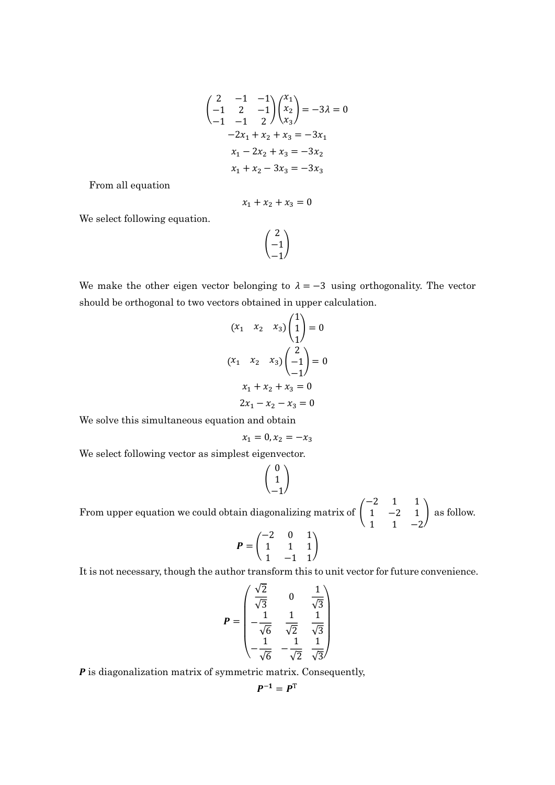$$
\begin{pmatrix} 2 & -1 & -1 \ -1 & 2 & -1 \ -1 & -1 & 2 \ \end{pmatrix} \begin{pmatrix} x_1 \ x_2 \ x_3 \end{pmatrix} = -3\lambda = 0
$$
  

$$
-2x_1 + x_2 + x_3 = -3x_1
$$
  

$$
x_1 - 2x_2 + x_3 = -3x_2
$$
  

$$
x_1 + x_2 - 3x_3 = -3x_3
$$

From all equation

$$
x_1 + x_2 + x_3 = 0
$$

We select following equation.

#### $\lfloor$ . 2 −1  $-1.$  $\overline{1}$

We make the other eigen vector belonging to  $\lambda = -3$  using orthogonality. The vector should be orthogonal to two vectors obtained in upper calculation.

$$
(x_1 \quad x_2 \quad x_3) \begin{pmatrix} 1 \\ 1 \\ 1 \end{pmatrix} = 0
$$

$$
(x_1 \quad x_2 \quad x_3) \begin{pmatrix} 2 \\ -1 \\ -1 \end{pmatrix} = 0
$$

$$
x_1 + x_2 + x_3 = 0
$$

$$
2x_1 - x_2 - x_3 = 0
$$

We solve this simultaneous equation and obtain

$$
x_1 = 0, x_2 = -x_3
$$

We select following vector as simplest eigenvector.

$$
\begin{pmatrix} 0 \\ 1 \\ -1 \end{pmatrix}
$$

From upper equation we could obtain diagonalizing matrix of  $\vert$  $-2$  1 1 1 −2 1  $1 \t -2$ as follow.

$$
P = \begin{pmatrix} -2 & 0 & 1 \\ 1 & 1 & 1 \\ 1 & -1 & 1 \end{pmatrix}
$$

It is not necessary, though the author transform this to unit vector for future convenience.

$$
P = \begin{pmatrix} \frac{\sqrt{2}}{\sqrt{3}} & 0 & \frac{1}{\sqrt{3}} \\ \frac{1}{\sqrt{6}} & \frac{1}{\sqrt{2}} & \frac{1}{\sqrt{3}} \\ -\frac{1}{\sqrt{6}} & -\frac{1}{\sqrt{2}} & \frac{1}{\sqrt{3}} \end{pmatrix}
$$

 $P$  is diagonalization matrix of symmetric matrix. Consequently,

$$
P^{-1}=P^{\mathrm{T}}
$$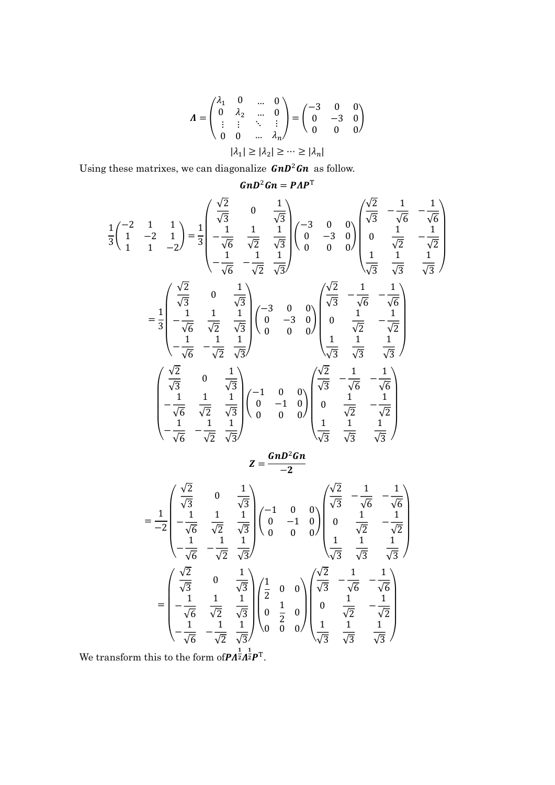$$
\Lambda = \begin{pmatrix} \lambda_1 & 0 & \dots & 0 \\ 0 & \lambda_2 & \dots & 0 \\ \vdots & \vdots & \ddots & \vdots \\ 0 & 0 & \dots & \lambda_n \end{pmatrix} = \begin{pmatrix} -3 & 0 & 0 \\ 0 & -3 & 0 \\ 0 & 0 & 0 \end{pmatrix}
$$

$$
|\lambda_1| \ge |\lambda_2| \ge \dots \ge |\lambda_n|
$$

Using these matrixes, we can diagonalize  $G \cap D^2 G$  as follow.

1

$$
GnD^{2}Gn = PAP^{T}
$$
\n
$$
\frac{1}{3}\begin{pmatrix} -2 & 1 & 1 \ 1 & -2 & 1 \ 1 & 1 & -2 \end{pmatrix} = \frac{1}{3}\begin{pmatrix} \frac{\sqrt{2}}{\sqrt{3}} & 0 & \frac{1}{\sqrt{3}} \\ -\frac{1}{\sqrt{6}} & \frac{1}{\sqrt{2}} & \frac{1}{\sqrt{3}} \\ -\frac{1}{\sqrt{6}} & -\frac{1}{\sqrt{2}} & \frac{1}{\sqrt{3}} \end{pmatrix} \begin{pmatrix} -3 & 0 & 0 \\ 0 & -3 & 0 \\ 0 & 0 & 0 \end{pmatrix} \begin{pmatrix} \frac{\sqrt{2}}{\sqrt{3}} & -\frac{1}{\sqrt{6}} & -\frac{1}{\sqrt{6}} \\ 0 & \frac{1}{\sqrt{2}} & -\frac{1}{\sqrt{2}} \\ \frac{1}{\sqrt{3}} & \frac{1}{\sqrt{3}} & \frac{1}{\sqrt{3}} \end{pmatrix}
$$
\n
$$
= \frac{1}{3}\begin{pmatrix} \frac{\sqrt{2}}{\sqrt{3}} & 0 & \frac{1}{\sqrt{3}} \\ -\frac{1}{\sqrt{6}} & \frac{1}{\sqrt{2}} & \frac{1}{\sqrt{3}} \\ -\frac{1}{\sqrt{6}} & -\frac{1}{\sqrt{2}} & \frac{1}{\sqrt{3}} \end{pmatrix} \begin{pmatrix} -3 & 0 & 0 \\ 0 & -3 & 0 \\ 0 & 0 & 0 \end{pmatrix} \begin{pmatrix} \frac{\sqrt{2}}{\sqrt{3}} & -\frac{1}{\sqrt{6}} & -\frac{1}{\sqrt{6}} \\ 0 & \frac{1}{\sqrt{2}} & -\frac{1}{\sqrt{2}} \\ \frac{1}{\sqrt{3}} & \frac{1}{\sqrt{3}} & \frac{1}{\sqrt{3}} \end{pmatrix}
$$
\n
$$
\begin{pmatrix} \frac{\sqrt{2}}{\sqrt{3}} & 0 & \frac{1}{\sqrt{3}} \\ -\frac{1}{\sqrt{6}} & \frac{1}{\sqrt{2}} & \frac{1}{\sqrt{3}} \\ -\frac{1}{\sqrt{6}} & \frac{1}{\sqrt{2}} & \frac{1}{\sqrt{3}} \end{pmatrix} \begin{pmatrix} -1 & 0 & 0 \\ 0 & -1 & 0 \\ 0 & 0 & 0 \end{pmatrix} \begin{pmatrix} \frac{\sqrt{2}}{\
$$

$$
Z=\frac{G n D^2 G n}{-2}
$$

$$
= \frac{1}{-2} \begin{pmatrix} \frac{\sqrt{2}}{\sqrt{3}} & 0 & \frac{1}{\sqrt{3}} \\ \frac{1}{\sqrt{6}} & \frac{1}{\sqrt{2}} & \frac{1}{\sqrt{3}} \\ -\frac{1}{\sqrt{6}} & -\frac{1}{\sqrt{2}} & \frac{1}{\sqrt{3}} \end{pmatrix} \begin{pmatrix} -1 & 0 & 0 \\ 0 & -1 & 0 \\ 0 & 0 & 0 \end{pmatrix} \begin{pmatrix} \frac{\sqrt{2}}{\sqrt{3}} & -\frac{1}{\sqrt{6}} & -\frac{1}{\sqrt{6}} \\ 0 & \frac{1}{\sqrt{2}} & -\frac{1}{\sqrt{2}} \\ \frac{1}{\sqrt{6}} & -\frac{1}{\sqrt{2}} & \frac{1}{\sqrt{3}} \end{pmatrix}
$$

$$
= \begin{pmatrix} \frac{\sqrt{2}}{\sqrt{3}} & 0 & \frac{1}{\sqrt{3}} \\ -\frac{1}{\sqrt{6}} & \frac{1}{\sqrt{2}} & \frac{1}{\sqrt{3}} \\ -\frac{1}{\sqrt{6}} & \frac{1}{\sqrt{2}} & \frac{1}{\sqrt{3}} \end{pmatrix} \begin{pmatrix} \frac{1}{2} & 0 & 0 \\ 0 & \frac{1}{2} & 0 \\ 0 & \frac{1}{2} & 0 \\ 0 & 0 & 0 \end{pmatrix} \begin{pmatrix} \frac{\sqrt{2}}{\sqrt{3}} & -\frac{1}{\sqrt{6}} & -\frac{1}{\sqrt{6}} \\ 0 & \frac{1}{\sqrt{2}} & -\frac{1}{\sqrt{2}} \\ \frac{1}{\sqrt{3}} & \frac{1}{\sqrt{3}} \end{pmatrix}
$$

We transform this to the form of  $\mathbf{P} A^{\frac{1}{2}} A^{\frac{1}{2}} \mathbf{P}^{\mathrm{T}}$ .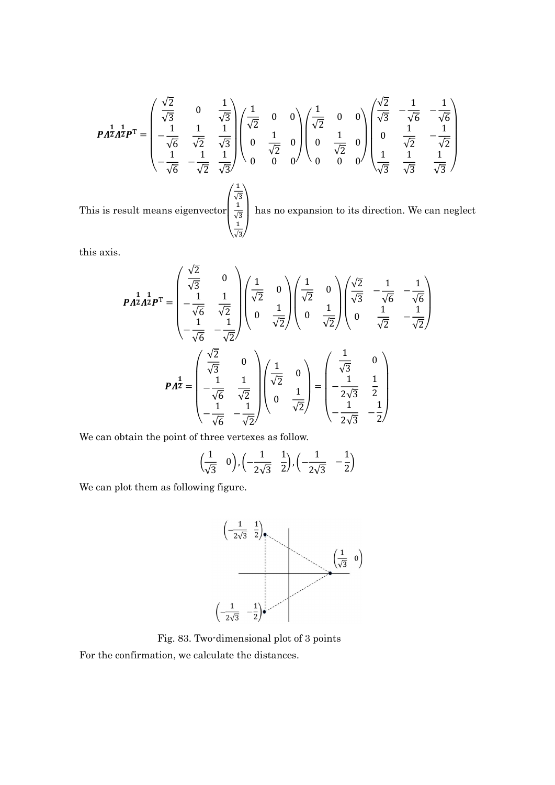$$
P A^{\frac{1}{2}} A^{\frac{1}{2}} P^{\mathrm{T}} = \begin{pmatrix} \frac{\sqrt{2}}{\sqrt{3}} & 0 & \frac{1}{\sqrt{3}} \\ -\frac{1}{\sqrt{6}} & \frac{1}{\sqrt{2}} & \frac{1}{\sqrt{3}} \\ -\frac{1}{\sqrt{6}} & -\frac{1}{\sqrt{2}} & \frac{1}{\sqrt{3}} \end{pmatrix} \begin{pmatrix} \frac{1}{\sqrt{2}} & 0 & 0 \\ 0 & \frac{1}{\sqrt{2}} & 0 \\ 0 & \frac{1}{\sqrt{2}} & 0 \\ 0 & 0 & 0 \end{pmatrix} \begin{pmatrix} \frac{1}{\sqrt{2}} & 0 & 0 \\ 0 & \frac{1}{\sqrt{2}} & 0 \\ 0 & \frac{1}{\sqrt{2}} & 0 \\ 0 & 0 & 0 \end{pmatrix} \begin{pmatrix} \frac{\sqrt{2}}{\sqrt{3}} & -\frac{1}{\sqrt{6}} & -\frac{1}{\sqrt{6}} \\ 0 & \frac{1}{\sqrt{2}} & -\frac{1}{\sqrt{2}} \\ \frac{1}{\sqrt{3}} & \frac{1}{\sqrt{3}} & \frac{1}{\sqrt{3}} \end{pmatrix}
$$
  
This is result means eigenvector  $\begin{pmatrix} \frac{1}{\sqrt{3}} \\ \frac{1}{\sqrt{3}} \\ \frac{1}{\sqrt{3}} \end{pmatrix}$  has no expansion to its direction. We can neglect

this axis.

$$
P A^{\frac{1}{2}} A^{\frac{1}{2}} P^{\text{T}} = \begin{pmatrix} \frac{\sqrt{2}}{\sqrt{3}} & 0 \\ -\frac{1}{\sqrt{6}} & \frac{1}{\sqrt{2}} \\ -\frac{1}{\sqrt{6}} & -\frac{1}{\sqrt{2}} \end{pmatrix} \begin{pmatrix} \frac{1}{\sqrt{2}} & 0 \\ 0 & \frac{1}{\sqrt{2}} \end{pmatrix} \begin{pmatrix} \frac{\sqrt{2}}{\sqrt{2}} & 0 \\ 0 & \frac{1}{\sqrt{2}} \end{pmatrix} \begin{pmatrix} \frac{\sqrt{2}}{\sqrt{3}} & -\frac{1}{\sqrt{6}} & -\frac{1}{\sqrt{6}} \\ 0 & \frac{1}{\sqrt{2}} & -\frac{1}{\sqrt{2}} \end{pmatrix}
$$

$$
P A^{\frac{1}{2}} = \begin{pmatrix} \frac{\sqrt{2}}{\sqrt{3}} & 0 \\ -\frac{1}{\sqrt{6}} & \frac{1}{\sqrt{2}} \\ -\frac{1}{\sqrt{6}} & -\frac{1}{\sqrt{2}} \end{pmatrix} \begin{pmatrix} \frac{1}{\sqrt{2}} & 0 \\ 0 & \frac{1}{\sqrt{2}} \end{pmatrix} = \begin{pmatrix} \frac{1}{\sqrt{3}} & 0 \\ -\frac{1}{2\sqrt{3}} & \frac{1}{2} \\ -\frac{1}{2\sqrt{3}} & -\frac{1}{2} \end{pmatrix}
$$

We can obtain the point of three vertexes as follow.

$$
\left(\frac{1}{\sqrt{3}} \quad 0\right), \left(-\frac{1}{2\sqrt{3}} \quad \frac{1}{2}\right), \left(-\frac{1}{2\sqrt{3}} \quad -\frac{1}{2}\right)
$$

We can plot them as following figure.



Fig. 83. Two-dimensional plot of 3 points

For the confirmation, we calculate the distances.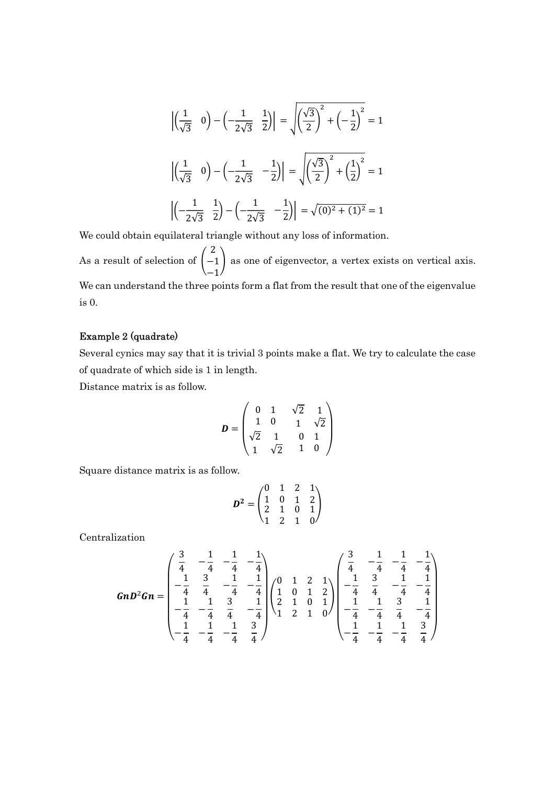$$
\left| \left( \frac{1}{\sqrt{3}} \quad 0 \right) - \left( -\frac{1}{2\sqrt{3}} \quad \frac{1}{2} \right) \right| = \sqrt{\left( \frac{\sqrt{3}}{2} \right)^2 + \left( -\frac{1}{2} \right)^2} = 1
$$

$$
\left| \left( \frac{1}{\sqrt{3}} \quad 0 \right) - \left( -\frac{1}{2\sqrt{3}} \quad -\frac{1}{2} \right) \right| = \sqrt{\left( \frac{\sqrt{3}}{2} \right)^2 + \left( \frac{1}{2} \right)^2} = 1
$$

$$
\left| \left( -\frac{1}{2\sqrt{3}} \quad \frac{1}{2} \right) - \left( -\frac{1}{2\sqrt{3}} \quad -\frac{1}{2} \right) \right| = \sqrt{(0)^2 + (1)^2} = 1
$$

We could obtain equilateral triangle without any loss of information.

As a result of selection of  $\vert \cdot \vert$ 2 −1  $-1$ ൱ as one of eigenvector, a vertex exists on vertical axis. We can understand the three points form a flat from the result that one of the eigenvalue is 0.

### Example 2 (quadrate)

Several cynics may say that it is trivial 3 points make a flat. We try to calculate the case of quadrate of which side is 1 in length.

Distance matrix is as follow.

$$
D = \begin{pmatrix} 0 & 1 & \sqrt{2} & 1 \\ 1 & 0 & 1 & \sqrt{2} \\ \sqrt{2} & 1 & 0 & 1 \\ 1 & \sqrt{2} & 1 & 0 \end{pmatrix}
$$

Square distance matrix is as follow.

$$
D^2 = \begin{pmatrix} 0 & 1 & 2 & 1 \\ 1 & 0 & 1 & 2 \\ 2 & 1 & 0 & 1 \\ 1 & 2 & 1 & 0 \end{pmatrix}
$$

Centralization

$$
GnD^{2}Gn = \begin{pmatrix} \frac{3}{4} & -\frac{1}{4} & -\frac{1}{4} & -\frac{1}{4} \\ -\frac{1}{4} & \frac{3}{4} & -\frac{1}{4} & -\frac{1}{4} \\ -\frac{1}{4} & -\frac{1}{4} & \frac{3}{4} & -\frac{1}{4} \\ -\frac{1}{4} & -\frac{1}{4} & \frac{3}{4} & -\frac{1}{4} \\ -\frac{1}{4} & -\frac{1}{4} & \frac{3}{4} & -\frac{1}{4} \end{pmatrix} \begin{pmatrix} 0 & 1 & 2 & 1 \\ 1 & 0 & 1 & 2 \\ 2 & 1 & 0 & 1 \\ 1 & 2 & 1 & 0 \end{pmatrix} \begin{pmatrix} \frac{3}{4} & -\frac{1}{4} & -\frac{1}{4} & -\frac{1}{4} \\ -\frac{1}{4} & \frac{3}{4} & -\frac{1}{4} & -\frac{1}{4} \\ -\frac{1}{4} & -\frac{1}{4} & \frac{3}{4} & -\frac{1}{4} \\ -\frac{1}{4} & -\frac{1}{4} & -\frac{1}{4} & \frac{3}{4} \end{pmatrix}
$$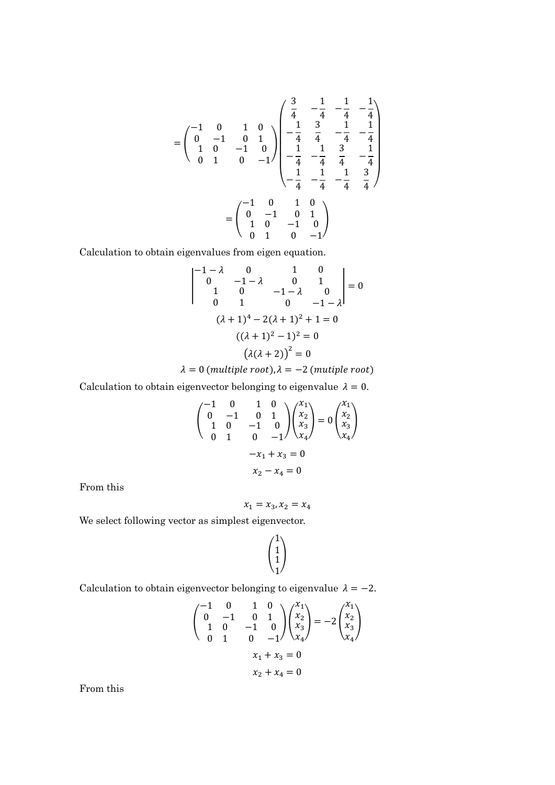$$
= \begin{pmatrix} -1 & 0 & 1 & 0 \\ 0 & -1 & 0 & 1 \\ 1 & 0 & -1 & 0 \\ 0 & 1 & 0 & -1 \end{pmatrix} \begin{pmatrix} \frac{3}{4} & -\frac{1}{4} & -\frac{1}{4} & -\frac{1}{4} \\ -\frac{1}{4} & \frac{3}{4} & -\frac{1}{4} & -\frac{1}{4} \\ -\frac{1}{4} & -\frac{1}{4} & \frac{3}{4} & -\frac{1}{4} \\ -\frac{1}{4} & -\frac{1}{4} & -\frac{1}{4} & \frac{3}{4} \end{pmatrix}
$$

$$
= \begin{pmatrix} -1 & 0 & 1 & 0 \\ 0 & -1 & 0 & 1 \\ 1 & 0 & -1 & 0 \\ 0 & 1 & 0 & -1 \end{pmatrix}
$$

Calculation to obtain eigenvalues from eigen equation.

$$
\begin{vmatrix}\n-1 - \lambda & 0 & 1 & 0 \\
0 & -1 - \lambda & 0 & 1 \\
1 & 0 & -1 - \lambda & 0 \\
0 & 1 & 0 & -1 - \lambda\n\end{vmatrix} = 0
$$
\n
$$
(\lambda + 1)^4 - 2(\lambda + 1)^2 + 1 = 0
$$
\n
$$
((\lambda + 1)^2 - 1)^2 = 0
$$
\n
$$
(\lambda(\lambda + 2))^2 = 0
$$

 $\lambda = 0$  (multiple root),  $\lambda = -2$  (mutiple root)

Calculation to obtain eigenvector belonging to eigenvalue  $\lambda = 0$ .

$$
\begin{pmatrix}\n-1 & 0 & 1 & 0 \\
0 & -1 & 0 & 1 \\
1 & 0 & -1 & 0 \\
0 & 1 & 0 & -1\n\end{pmatrix}\n\begin{pmatrix}\nx_1 \\
x_2 \\
x_3 \\
x_4\n\end{pmatrix} = 0\n\begin{pmatrix}\nx_1 \\
x_2 \\
x_3 \\
x_4\n\end{pmatrix}
$$
\n
$$
-x_1 + x_3 = 0
$$
\n
$$
x_2 - x_4 = 0
$$

From this

$$
x_1 = x_3, x_2 = x_4
$$

We select following vector as simplest eigenvector.

 $\vert$  : 1 1 1 1  $\overline{a}$ 

Calculation to obtain eigenvector belonging to eigenvalue  $\lambda = -2$ .

$$
\begin{pmatrix}\n-1 & 0 & 1 & 0 \\
0 & -1 & 0 & 1 \\
1 & 0 & -1 & 0 \\
0 & 1 & 0 & -1\n\end{pmatrix}\n\begin{pmatrix}\nx_1 \\
x_2 \\
x_3 \\
x_4\n\end{pmatrix} = -2 \begin{pmatrix}\nx_1 \\
x_2 \\
x_3 \\
x_4\n\end{pmatrix}
$$
\n
$$
x_1 + x_3 = 0
$$
\n
$$
x_2 + x_4 = 0
$$

From this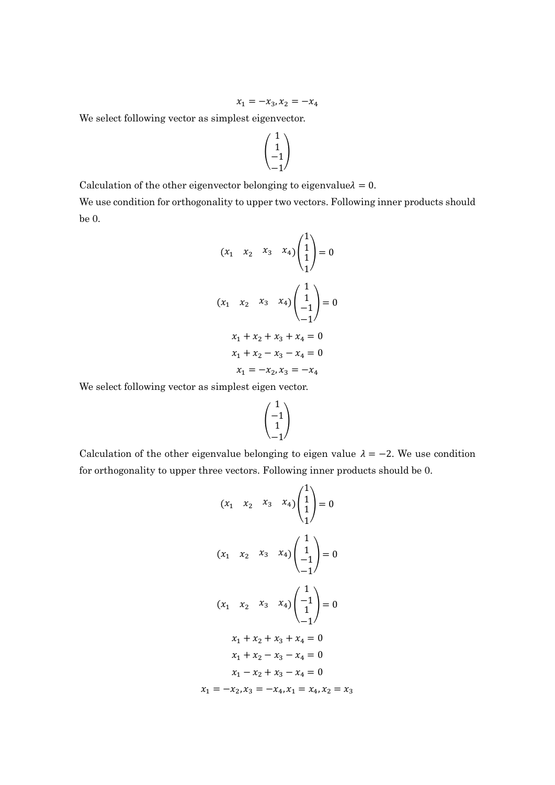$$
x_1 = -x_3, x_2 = -x_4
$$

We select following vector as simplest eigenvector.

$$
\begin{pmatrix} 1 \\ 1 \\ -1 \\ -1 \end{pmatrix}
$$

Calculation of the other eigenvector belonging to eigenvalue $\lambda = 0$ . We use condition for orthogonality to upper two vectors. Following inner products should be 0.

$$
(x_1 \quad x_2 \quad x_3 \quad x_4) \begin{pmatrix} 1 \\ 1 \\ 1 \end{pmatrix} = 0
$$
  

$$
(x_1 \quad x_2 \quad x_3 \quad x_4) \begin{pmatrix} 1 \\ 1 \\ -1 \end{pmatrix} = 0
$$
  

$$
x_1 + x_2 + x_3 + x_4 = 0
$$
  

$$
x_1 + x_2 - x_3 - x_4 = 0
$$
  

$$
x_1 = -x_2, x_3 = -x_4
$$

We select following vector as simplest eigen vector.

$$
\begin{pmatrix} 1 \\ -1 \\ 1 \\ -1 \end{pmatrix}
$$

Calculation of the other eigenvalue belonging to eigen value  $\lambda = -2$ . We use condition for orthogonality to upper three vectors. Following inner products should be 0.

$$
(x_1 \quad x_2 \quad x_3 \quad x_4) \begin{pmatrix} 1 \\ 1 \\ 1 \end{pmatrix} = 0
$$
  

$$
(x_1 \quad x_2 \quad x_3 \quad x_4) \begin{pmatrix} 1 \\ 1 \\ -1 \end{pmatrix} = 0
$$
  

$$
(x_1 \quad x_2 \quad x_3 \quad x_4) \begin{pmatrix} 1 \\ -1 \\ 1 \end{pmatrix} = 0
$$
  

$$
x_1 + x_2 + x_3 + x_4 = 0
$$
  

$$
x_1 + x_2 - x_3 - x_4 = 0
$$
  

$$
x_1 - x_2 + x_3 - x_4 = 0
$$
  

$$
x_1 = -x_2, x_3 = -x_4, x_1 = x_4, x_2 = x_3
$$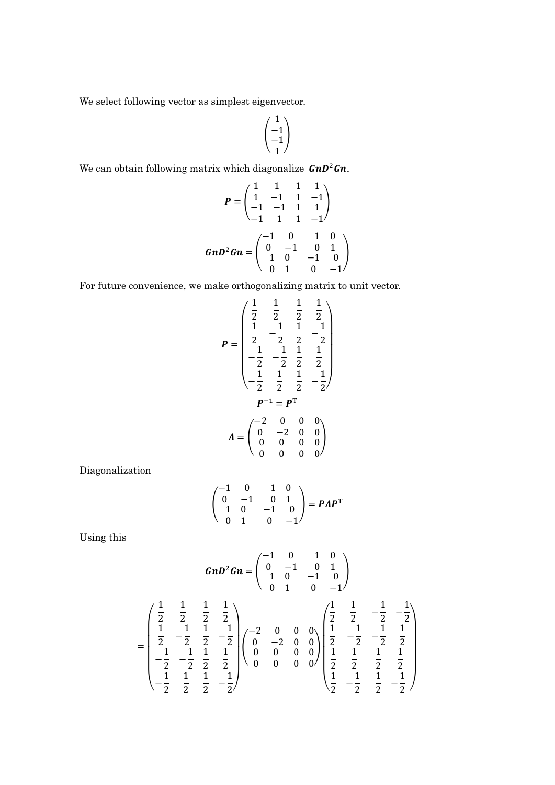We select following vector as simplest eigenvector.

$$
\begin{pmatrix} 1 \\ -1 \\ -1 \\ 1 \end{pmatrix}
$$

We can obtain following matrix which diagonalize  $GnD^2Gn$ .

$$
P = \begin{pmatrix} 1 & 1 & 1 & 1 \\ 1 & -1 & 1 & -1 \\ -1 & -1 & 1 & 1 \\ -1 & 1 & 1 & -1 \end{pmatrix}
$$

$$
GnD^2Gn = \begin{pmatrix} -1 & 0 & 1 & 0 \\ 0 & -1 & 0 & 1 \\ 1 & 0 & -1 & 0 \\ 0 & 1 & 0 & -1 \end{pmatrix}
$$

For future convenience, we make orthogonalizing matrix to unit vector.

$$
P = \begin{pmatrix} \frac{1}{2} & \frac{1}{2} & \frac{1}{2} & \frac{1}{2} \\ \frac{1}{2} & -\frac{1}{2} & \frac{1}{2} & -\frac{1}{2} \\ \frac{1}{2} & -\frac{1}{2} & \frac{1}{2} & -\frac{1}{2} \\ -\frac{1}{2} & -\frac{1}{2} & \frac{1}{2} & \frac{1}{2} \\ -\frac{1}{2} & \frac{1}{2} & \frac{1}{2} & -\frac{1}{2} \end{pmatrix}
$$

$$
A = \begin{pmatrix} -2 & 0 & 0 & 0 \\ 0 & -2 & 0 & 0 \\ 0 & 0 & 0 & 0 \\ 0 & 0 & 0 & 0 \end{pmatrix}
$$

Diagonalization

$$
\begin{pmatrix}\n-1 & 0 & 1 & 0 \\
0 & -1 & 0 & 1 \\
1 & 0 & -1 & 0 \\
0 & 1 & 0 & -1\n\end{pmatrix} = PAPT
$$

Using this

$$
GnD^2Gn = \begin{pmatrix} -1 & 0 & 1 & 0 \\ 0 & -1 & 0 & 1 \\ 1 & 0 & -1 & 0 \\ 0 & 1 & 0 & -1 \end{pmatrix}
$$

$$
= \begin{pmatrix} \frac{1}{2} & \frac{1}{2} & \frac{1}{2} & \frac{1}{2} \\ \frac{1}{2} & -\frac{1}{2} & \frac{1}{2} & -\frac{1}{2} \\ \frac{1}{2} & -\frac{1}{2} & \frac{1}{2} & -\frac{1}{2} \\ -\frac{1}{2} & -\frac{1}{2} & \frac{1}{2} & \frac{1}{2} \end{pmatrix} \begin{pmatrix} -2 & 0 & 0 & 0 \\ 0 & -2 & 0 & 0 \\ 0 & 0 & 0 & 0 \\ 0 & 0 & 0 & 0 \end{pmatrix} \begin{pmatrix} \frac{1}{2} & \frac{1}{2} & -\frac{1}{2} & -\frac{1}{2} \\ \frac{1}{2} & -\frac{1}{2} & -\frac{1}{2} & \frac{1}{2} \\ \frac{1}{2} & \frac{1}{2} & \frac{1}{2} & \frac{1}{2} \\ \frac{1}{2} & -\frac{1}{2} & \frac{1}{2} & -\frac{1}{2} \end{pmatrix}
$$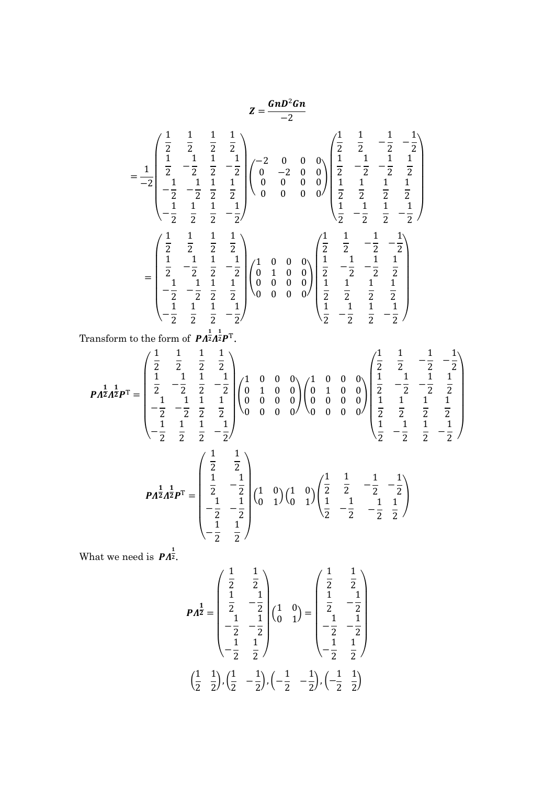$$
Z = \frac{GnD^2Gn}{-2}
$$
\n
$$
= \frac{1}{-2} \begin{pmatrix} \frac{1}{2} & \frac{1}{2} & \frac{1}{2} & \frac{1}{2} \\ \frac{1}{2} & -\frac{1}{2} & \frac{1}{2} & -\frac{1}{2} \\ \frac{1}{2} & -\frac{1}{2} & \frac{1}{2} & -\frac{1}{2} \\ -\frac{1}{2} & -\frac{1}{2} & \frac{1}{2} & \frac{1}{2} \end{pmatrix} \begin{pmatrix} -2 & 0 & 0 & 0 \\ 0 & -2 & 0 & 0 \\ 0 & 0 & 0 & 0 \\ 0 & 0 & 0 & 0 \end{pmatrix} \begin{pmatrix} \frac{1}{2} & \frac{1}{2} & -\frac{1}{2} & -\frac{1}{2} \\ \frac{1}{2} & -\frac{1}{2} & -\frac{1}{2} & \frac{1}{2} \\ \frac{1}{2} & \frac{1}{2} & \frac{1}{2} & \frac{1}{2} \\ \frac{1}{2} & -\frac{1}{2} & \frac{1}{2} & -\frac{1}{2} \end{pmatrix}
$$
\n
$$
= \begin{pmatrix} \frac{1}{2} & \frac{1}{2} & \frac{1}{2} & \frac{1}{2} & \frac{1}{2} \\ \frac{1}{2} & -\frac{1}{2} & \frac{1}{2} & -\frac{1}{2} \\ \frac{1}{2} & -\frac{1}{2} & \frac{1}{2} & -\frac{1}{2} \\ -\frac{1}{2} & -\frac{1}{2} & \frac{1}{2} & \frac{1}{2} \end{pmatrix} \begin{pmatrix} 1 & 0 & 0 & 0 \\ 0 & 1 & 0 & 0 \\ 0 & 0 & 0 & 0 \\ 0 & 0 & 0 & 0 \end{pmatrix} \begin{pmatrix} \frac{1}{2} & \frac{1}{2} & -\frac{1}{2} & -\frac{1}{2} \\ \frac{1}{2} & -\frac{1}{2} & -\frac{1}{2} \\ \frac{1}{2} & \frac{1}{2} & \frac{1}{2} \\ \frac{1}{2} & -\frac{1}{2} & \frac{1}{2} \end{pmatrix}
$$
\n
$$
\text{Transform to the form of } P A^{\frac{1}{2}} A^{\frac{1}{
$$

$$
\begin{pmatrix} -\frac{1}{2} & \frac{1}{2} & \frac{1}{2} & -\frac{1}{2} \end{pmatrix}
$$
  
\n
$$
P A^{\frac{1}{2}} A^{\frac{1}{2}} P^{\text{T}} = \begin{pmatrix} \frac{1}{2} & \frac{1}{2} \\ \frac{1}{2} & -\frac{1}{2} \\ -\frac{1}{2} & -\frac{1}{2} \\ -\frac{1}{2} & \frac{1}{2} \end{pmatrix} \begin{pmatrix} 1 & 0 \\ 0 & 1 \end{pmatrix} \begin{pmatrix} \frac{1}{2} & \frac{1}{2} & -\frac{1}{2} & -\frac{1}{2} \\ \frac{1}{2} & -\frac{1}{2} & -\frac{1}{2} & \frac{1}{2} \end{pmatrix}
$$

1

1

1  $\frac{1}{2}$  –

1  $\frac{1}{2}$  /

What we need is  $\mathbf{P} \Lambda^{\frac{1}{2}}$ .

− 1 1

1

1

$$
P A^{\frac{1}{2}} = \begin{pmatrix} \frac{1}{2} & \frac{1}{2} \\ \frac{1}{2} & -\frac{1}{2} \\ -\frac{1}{2} & -\frac{1}{2} \\ -\frac{1}{2} & \frac{1}{2} \end{pmatrix} \begin{pmatrix} 1 & 0 \\ 0 & 1 \end{pmatrix} = \begin{pmatrix} \frac{1}{2} & \frac{1}{2} \\ \frac{1}{2} & -\frac{1}{2} \\ -\frac{1}{2} & -\frac{1}{2} \\ -\frac{1}{2} & \frac{1}{2} \end{pmatrix}
$$

$$
\begin{pmatrix} \frac{1}{2} & \frac{1}{2} \end{pmatrix}, \begin{pmatrix} \frac{1}{2} & -\frac{1}{2} \end{pmatrix}, \begin{pmatrix} -\frac{1}{2} & -\frac{1}{2} \end{pmatrix}, \begin{pmatrix} -\frac{1}{2} & \frac{1}{2} \end{pmatrix}
$$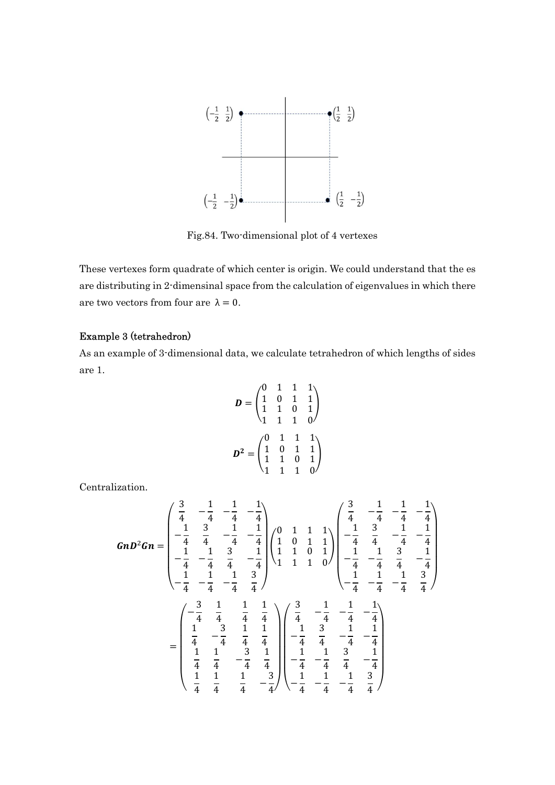

Fig.84. Two-dimensional plot of 4 vertexes

These vertexes form quadrate of which center is origin. We could understand that the es are distributing in 2-dimensinal space from the calculation of eigenvalues in which there are two vectors from four are  $\lambda = 0$ .

### Example 3 (tetrahedron)

As an example of 3-dimensional data, we calculate tetrahedron of which lengths of sides are 1.

$$
D = \begin{pmatrix} 0 & 1 & 1 & 1 \\ 1 & 0 & 1 & 1 \\ 1 & 1 & 0 & 1 \\ 1 & 1 & 1 & 0 \end{pmatrix}
$$

$$
D^2 = \begin{pmatrix} 0 & 1 & 1 & 1 \\ 1 & 0 & 1 & 1 \\ 1 & 1 & 0 & 1 \\ 1 & 1 & 1 & 0 \end{pmatrix}
$$

Centralization.

$$
GnD^{2}Gn = \begin{pmatrix} \frac{3}{4} & -\frac{1}{4} & -\frac{1}{4} \\ -\frac{1}{4} & \frac{3}{4} & -\frac{1}{4} & -\frac{1}{4} \\ -\frac{1}{4} & -\frac{1}{4} & \frac{3}{4} & -\frac{1}{4} \\ -\frac{1}{4} & -\frac{1}{4} & \frac{3}{4} & -\frac{1}{4} \end{pmatrix} \begin{pmatrix} 0 & 1 & 1 & 1 \\ 1 & 0 & 1 & 1 \\ 1 & 1 & 0 & 1 \\ 1 & 1 & 0 & 1 \end{pmatrix} \begin{pmatrix} \frac{3}{4} & -\frac{1}{4} & -\frac{1}{4} \\ -\frac{1}{4} & \frac{3}{4} & -\frac{1}{4} \\ -\frac{1}{4} & -\frac{1}{4} & \frac{3}{4} \\ -\frac{1}{4} & -\frac{1}{4} & \frac{3}{4} \end{pmatrix}
$$

$$
= \begin{pmatrix} -\frac{3}{4} & \frac{1}{4} & \frac{1}{4} & \frac{1}{4} \\ \frac{1}{4} & -\frac{3}{4} & \frac{1}{4} & \frac{1}{4} \\ \frac{1}{4} & -\frac{3}{4} & \frac{1}{4} & \frac{1}{4} \\ \frac{1}{4} & -\frac{3}{4} & \frac{1}{4} & \frac{1}{4} \end{pmatrix} \begin{pmatrix} \frac{3}{4} & -\frac{1}{4} & -\frac{1}{4} \\ -\frac{1}{4} & \frac{3}{4} & -\frac{1}{4} \\ -\frac{1}{4} & \frac{3}{4} & -\frac{1}{4} \\ -\frac{1}{4} & \frac{3}{4} & -\frac{1}{4} \\ \frac{1}{4} & \frac{1}{4} & -\frac{3}{4} \end{pmatrix} \begin{pmatrix} \frac{3}{4} & -\frac{1}{4} & -\frac{1}{4} \\ -\frac{1}{4} & \frac{3}{4} & -\frac{1}{4} \\ -\frac{1}{4} & \frac{3}{4} & -\frac{1}{4} \\ -\frac{1}{4} & \frac{3}{4} & -\frac{1}{4} \\ \frac{1}{4} & \frac{1}{4} & -\frac{3}{4} \end{pmatrix} \begin{
$$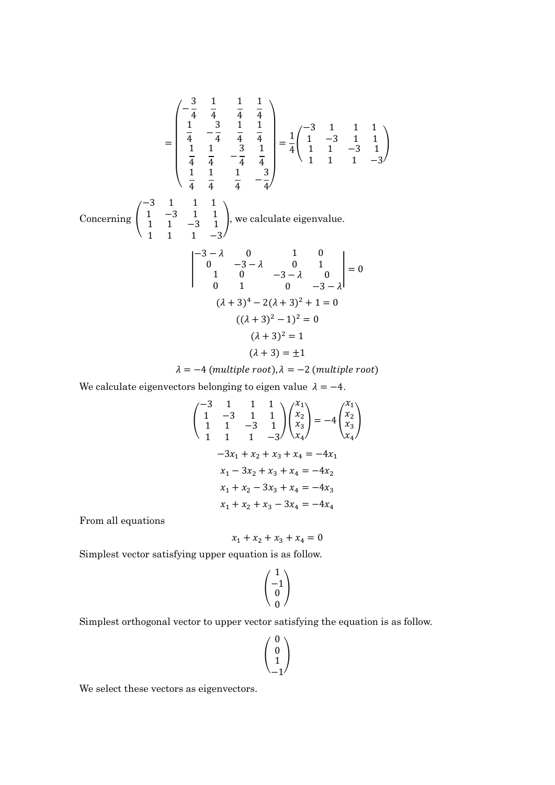$$
\begin{bmatrix}\n-\frac{3}{4} & \frac{1}{4} & \frac{1}{4} & \frac{1}{4} \\
\frac{1}{4} & -\frac{3}{4} & \frac{1}{4} & \frac{1}{4} \\
\frac{1}{4} & \frac{1}{4} & -\frac{3}{4} & \frac{1}{4} \\
\frac{1}{4} & \frac{1}{4} & -\frac{3}{4} & \frac{1}{4}\n\end{bmatrix} = \frac{1}{4} \begin{pmatrix} -3 & 1 & 1 & 1 \\
 1 & -3 & 1 & 1 \\
 1 & 1 & -3 & 1 \\
 1 & 1 & 1 & -3\n\end{pmatrix}
$$
\n
$$
\begin{aligned}\n\text{Concerning } \begin{pmatrix}\n-3 & 1 & 1 & 1 \\
1 & -3 & 1 & 1 \\
1 & 1 & -3 & 1 \\
1 & 1 & -3\n\end{pmatrix}, \text{ we calculate eigenvalue.} \\
\begin{vmatrix}\n-3 - \lambda & 0 & 1 & 0 \\
0 & -3 - \lambda & 0 & 1 \\
1 & 0 & -3 - \lambda & 0 \\
0 & 1 & 0 & -3 - \lambda\n\end{vmatrix} = 0 \\
(\lambda + 3)^4 - 2(\lambda + 3)^2 + 1 = 0 \\
((\lambda + 3)^2 - 1)^2 = 0 \\
(\lambda + 3)^2 = 1 \\
(\lambda + 3) = \pm 1\n\end{aligned}
$$

 $\lambda = -4$  (multiple root),  $\lambda = -2$  (multiple root)

 $\overline{a}$ 

We calculate eigenvectors belonging to eigen value  $\lambda = -4$ .

$$
\begin{pmatrix}\n-3 & 1 & 1 & 1 \\
1 & -3 & 1 & 1 \\
1 & 1 & -3 & 1\n\end{pmatrix}\n\begin{pmatrix}\nx_1 \\
x_2 \\
x_3 \\
x_4\n\end{pmatrix} = -4 \begin{pmatrix}\nx_1 \\
x_2 \\
x_3 \\
x_4\n\end{pmatrix}
$$
\n
$$
-3x_1 + x_2 + x_3 + x_4 = -4x_1
$$
\n
$$
x_1 - 3x_2 + x_3 + x_4 = -4x_2
$$
\n
$$
x_1 + x_2 - 3x_3 + x_4 = -4x_3
$$
\n
$$
x_1 + x_2 + x_3 - 3x_4 = -4x_4
$$

From all equations

$$
x_1 + x_2 + x_3 + x_4 = 0
$$

Simplest vector satisfying upper equation is as follow.

$$
\begin{pmatrix} 1 \\ -1 \\ 0 \\ 0 \end{pmatrix}
$$

Simplest orthogonal vector to upper vector satisfying the equation is as follow.

$$
\begin{pmatrix} 0 \\ 0 \\ 1 \\ -1 \end{pmatrix}
$$

We select these vectors as eigenvectors.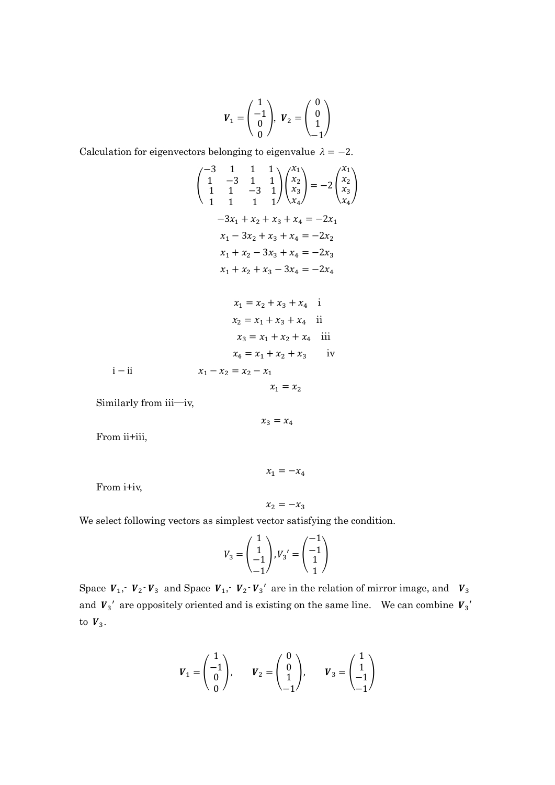$$
\boldsymbol{V}_1 = \begin{pmatrix} 1 \\ -1 \\ 0 \\ 0 \end{pmatrix}, \ \boldsymbol{V}_2 = \begin{pmatrix} 0 \\ 0 \\ 1 \\ -1 \end{pmatrix}
$$

Calculation for eigenvectors belonging to eigenvalue  $\lambda = -2$ .

$$
\begin{pmatrix}\n-3 & 1 & 1 & 1 \\
1 & -3 & 1 & 1 \\
1 & 1 & -3 & 1\n\end{pmatrix}\n\begin{pmatrix}\nx_1 \\
x_2 \\
x_3 \\
x_4\n\end{pmatrix} = -2 \begin{pmatrix}\nx_1 \\
x_2 \\
x_3 \\
x_4\n\end{pmatrix}
$$
\n
$$
-3x_1 + x_2 + x_3 + x_4 = -2x_1
$$
\n
$$
x_1 - 3x_2 + x_3 + x_4 = -2x_2
$$
\n
$$
x_1 + x_2 - 3x_3 + x_4 = -2x_3
$$
\n
$$
x_1 + x_2 + x_3 - 3x_4 = -2x_4
$$

$$
x_1 = x_2 + x_3 + x_4 \quad \text{i}
$$
\n
$$
x_2 = x_1 + x_3 + x_4 \quad \text{ii}
$$
\n
$$
x_3 = x_1 + x_2 + x_4 \quad \text{iii}
$$
\n
$$
x_4 = x_1 + x_2 + x_3 \quad \text{iv}
$$
\n
$$
i - ii \quad x_1 - x_2 = x_2 - x_1
$$

$$
x_1 = x_2
$$

Similarly from iii―iv,

$$
x_3=x_4
$$

From ii+iii,

From i+iv,

$$
x_2=-x_3
$$

 $x_1 = -x_4$ 

We select following vectors as simplest vector satisfying the condition.

$$
V_3 = \begin{pmatrix} 1 \\ 1 \\ -1 \\ -1 \end{pmatrix}, V_3{}' = \begin{pmatrix} -1 \\ -1 \\ 1 \\ 1 \end{pmatrix}
$$

Space  $V_1$ ,  $V_2$   $V_3$  and Space  $V_1$ ,  $V_2$   $V_3'$  are in the relation of mirror image, and  $V_3$ and  $V_3'$  are oppositely oriented and is existing on the same line. We can combine  $V_3'$ to  $V_3$ .

$$
\boldsymbol{V}_1 = \begin{pmatrix} 1 \\ -1 \\ 0 \\ 0 \end{pmatrix}, \qquad \boldsymbol{V}_2 = \begin{pmatrix} 0 \\ 0 \\ 1 \\ -1 \end{pmatrix}, \qquad \boldsymbol{V}_3 = \begin{pmatrix} 1 \\ 1 \\ -1 \\ -1 \end{pmatrix}
$$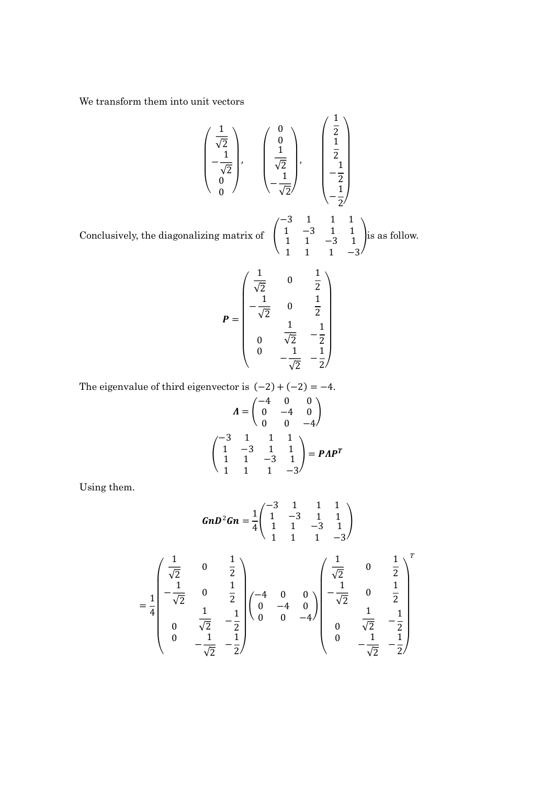We transform them into unit vectors

$$
\begin{pmatrix}\n\frac{1}{\sqrt{2}} \\
-\frac{1}{\sqrt{2}} \\
0\n\end{pmatrix}, \quad\n\begin{pmatrix}\n0 \\
0 \\
\frac{1}{\sqrt{2}} \\
-\frac{1}{\sqrt{2}}\n\end{pmatrix}, \quad\n\begin{pmatrix}\n\frac{1}{2} \\
\frac{1}{2} \\
-\frac{1}{2} \\
-\frac{1}{2}\n\end{pmatrix}
$$

−3 1  $1 -3$ 

 $\begin{bmatrix} 1 & 1 \end{bmatrix}$ 

1 1 1 1

 $-3$  1

ቍis as follow.

Conclusively, the diagonalizing matrix of  $\Box$ 

$$
P = \begin{pmatrix} \frac{1}{\sqrt{2}} & 0 & \frac{1}{2} \\ -\frac{1}{\sqrt{2}} & 0 & \frac{1}{2} \\ \frac{1}{\sqrt{2}} & \frac{1}{2} & -\frac{1}{2} \\ 0 & \frac{1}{\sqrt{2}} & -\frac{1}{2} \\ 0 & -\frac{1}{\sqrt{2}} & -\frac{1}{2} \end{pmatrix}
$$

The eigenvalue of third eigenvector is  $(-2) + (-2) = -4$ .

$$
\Lambda = \begin{pmatrix} -4 & 0 & 0 \\ 0 & -4 & 0 \\ 0 & 0 & -4 \end{pmatrix}
$$

$$
\begin{pmatrix} -3 & 1 & 1 & 1 \\ 1 & -3 & 1 & 1 \\ 1 & 1 & -3 & 1 \\ 1 & 1 & 1 & -3 \end{pmatrix} = P\Lambda P^{T}
$$

Using them.

$$
GnD^{2}Gn = \frac{1}{4} \begin{pmatrix} -3 & 1 & 1 & 1 \\ 1 & -3 & 1 & 1 \\ 1 & 1 & -3 & 1 \\ 1 & 1 & 1 & -3 \end{pmatrix}
$$

$$
= \frac{1}{4} \begin{pmatrix} \frac{1}{\sqrt{2}} & 0 & \frac{1}{2} \\ -\frac{1}{\sqrt{2}} & 0 & \frac{1}{2} \\ 0 & \frac{1}{\sqrt{2}} & -\frac{1}{2} \\ 0 & -\frac{1}{\sqrt{2}} & -\frac{1}{2} \end{pmatrix} \begin{pmatrix} -4 & 0 & 0 \\ 0 & -4 & 0 \\ 0 & 0 & -4 \end{pmatrix} \begin{pmatrix} \frac{1}{\sqrt{2}} & 0 & \frac{1}{2} \\ -\frac{1}{\sqrt{2}} & 0 & \frac{1}{2} \\ 0 & \frac{1}{\sqrt{2}} & -\frac{1}{2} \\ 0 & -\frac{1}{\sqrt{2}} & -\frac{1}{2} \end{pmatrix}
$$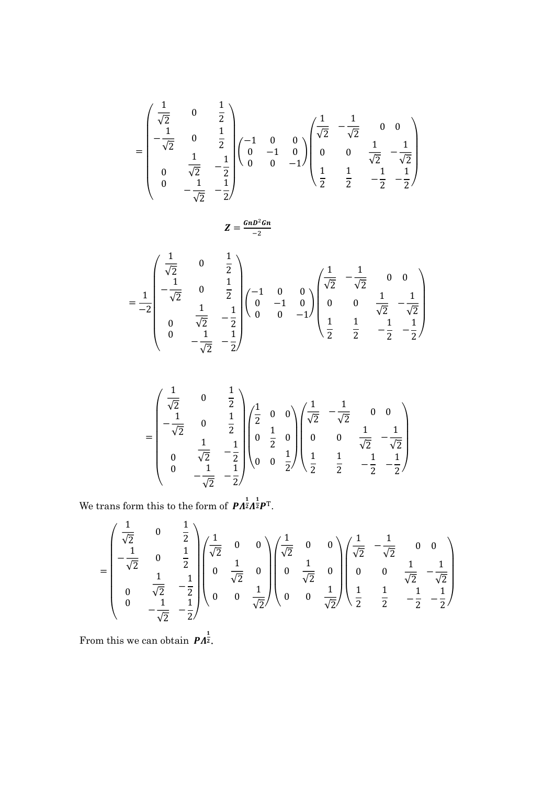$$
= \begin{pmatrix} \frac{1}{\sqrt{2}} & 0 & \frac{1}{2} \\ -\frac{1}{\sqrt{2}} & 0 & \frac{1}{2} \\ \frac{1}{\sqrt{2}} & \frac{1}{2} & -\frac{1}{2} \\ 0 & \frac{1}{\sqrt{2}} & -\frac{1}{2} \\ 0 & -\frac{1}{\sqrt{2}} & -\frac{1}{2} \end{pmatrix} \begin{pmatrix} -1 & 0 & 0 \\ 0 & -1 & 0 \\ 0 & 0 & -1 \end{pmatrix} \begin{pmatrix} \frac{1}{\sqrt{2}} & -\frac{1}{\sqrt{2}} & 0 & 0 \\ 0 & 0 & \frac{1}{\sqrt{2}} & -\frac{1}{\sqrt{2}} \\ \frac{1}{2} & \frac{1}{2} & -\frac{1}{2} & -\frac{1}{2} \end{pmatrix}
$$

$$
Z=\frac{GnD^2Gn}{-2}
$$

$$
=\frac{1}{-2}\begin{pmatrix}\frac{1}{\sqrt{2}} & 0 & \frac{1}{2} \\ -\frac{1}{\sqrt{2}} & 0 & \frac{1}{2} \\ \frac{1}{\sqrt{2}} & \frac{1}{\sqrt{2}} & -\frac{1}{2} \\ 0 & \frac{1}{\sqrt{2}} & -\frac{1}{2} \\ 0 & -\frac{1}{\sqrt{2}} & -\frac{1}{2}\end{pmatrix}\begin{pmatrix}-1 & 0 & 0 \\ 0 & -1 & 0 \\ 0 & 0 & -1\end{pmatrix}\begin{pmatrix}\frac{1}{\sqrt{2}} & -\frac{1}{\sqrt{2}} & 0 & 0 \\ 0 & 0 & \frac{1}{\sqrt{2}} & -\frac{1}{\sqrt{2}} \\ \frac{1}{2} & \frac{1}{2} & -\frac{1}{2} & -\frac{1}{2}\end{pmatrix}
$$

$$
= \begin{pmatrix} \frac{1}{\sqrt{2}} & 0 & \frac{1}{2} \\ -\frac{1}{\sqrt{2}} & 0 & \frac{1}{2} \\ 0 & \frac{1}{\sqrt{2}} & -\frac{1}{2} \\ 0 & -\frac{1}{\sqrt{2}} & -\frac{1}{2} \end{pmatrix} \begin{pmatrix} \frac{1}{2} & 0 & 0 \\ 0 & \frac{1}{2} & 0 \\ 0 & 0 & \frac{1}{2} \end{pmatrix} \begin{pmatrix} \frac{1}{\sqrt{2}} & -\frac{1}{\sqrt{2}} & 0 & 0 \\ 0 & 0 & \frac{1}{\sqrt{2}} & -\frac{1}{\sqrt{2}} \\ \frac{1}{2} & \frac{1}{2} & -\frac{1}{2} & -\frac{1}{2} \end{pmatrix}
$$

We trans form this to the form of  $\mathbf{P} A^{\frac{1}{2}} A^{\frac{1}{2}} \mathbf{P}^{\mathrm{T}}$ .

$$
= \begin{pmatrix} \frac{1}{\sqrt{2}} & 0 & \frac{1}{2} \\ -\frac{1}{\sqrt{2}} & 0 & \frac{1}{2} \\ 0 & \frac{1}{\sqrt{2}} & -\frac{1}{2} \\ 0 & -\frac{1}{\sqrt{2}} & -\frac{1}{2} \end{pmatrix} \begin{pmatrix} \frac{1}{\sqrt{2}} & 0 & 0 \\ 0 & \frac{1}{\sqrt{2}} & 0 \\ 0 & 0 & \frac{1}{\sqrt{2}} \end{pmatrix} \begin{pmatrix} \frac{1}{\sqrt{2}} & 0 & 0 \\ 0 & \frac{1}{\sqrt{2}} & 0 \\ 0 & 0 & \frac{1}{\sqrt{2}} \end{pmatrix} \begin{pmatrix} \frac{1}{\sqrt{2}} & -\frac{1}{\sqrt{2}} & 0 & 0 \\ 0 & 0 & \frac{1}{\sqrt{2}} & -\frac{1}{\sqrt{2}} \\ \frac{1}{\sqrt{2}} & \frac{1}{2} & \frac{1}{2} & -\frac{1}{2} \end{pmatrix}
$$

From this we can obtain  $\mathbf{P}\Lambda^{\frac{1}{2}}$ .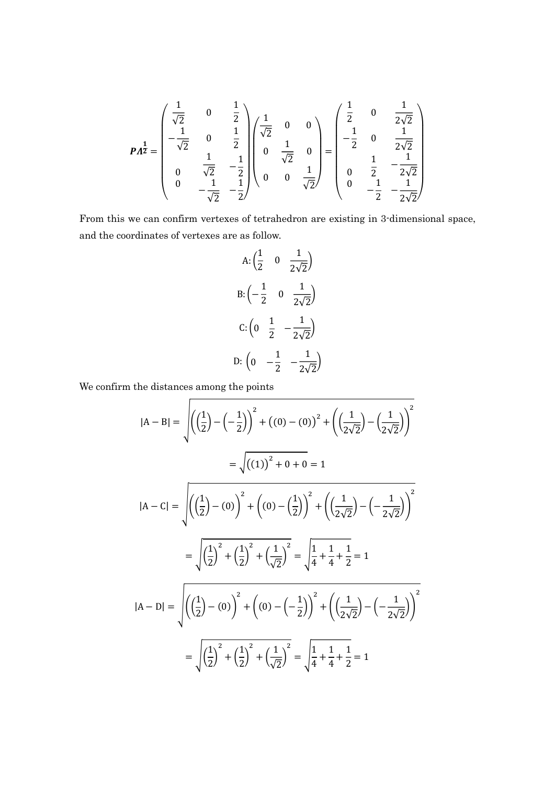$$
P\Lambda^{\frac{1}{2}} = \begin{pmatrix} \frac{1}{\sqrt{2}} & 0 & \frac{1}{2} \\ -\frac{1}{\sqrt{2}} & 0 & \frac{1}{2} \\ 0 & \frac{1}{\sqrt{2}} & -\frac{1}{2} \\ 0 & -\frac{1}{\sqrt{2}} & -\frac{1}{2} \end{pmatrix} \begin{pmatrix} \frac{1}{\sqrt{2}} & 0 & 0 \\ 0 & \frac{1}{\sqrt{2}} & 0 \\ 0 & 0 & \frac{1}{\sqrt{2}} \end{pmatrix} = \begin{pmatrix} \frac{1}{2} & 0 & \frac{1}{2\sqrt{2}} \\ -\frac{1}{2} & 0 & \frac{1}{2\sqrt{2}} \\ 0 & \frac{1}{2} & -\frac{1}{2\sqrt{2}} \\ 0 & -\frac{1}{2} & -\frac{1}{2\sqrt{2}} \end{pmatrix}
$$

From this we can confirm vertexes of tetrahedron are existing in 3-dimensional space, and the coordinates of vertexes are as follow.

A: 
$$
\left(\frac{1}{2} \quad 0 \quad \frac{1}{2\sqrt{2}}\right)
$$
  
B:  $\left(-\frac{1}{2} \quad 0 \quad \frac{1}{2\sqrt{2}}\right)$   
C:  $\left(0 \quad \frac{1}{2} \quad -\frac{1}{2\sqrt{2}}\right)$   
D:  $\left(0 \quad -\frac{1}{2} \quad -\frac{1}{2\sqrt{2}}\right)$ 

We confirm the distances among the points

$$
|A - B| = \sqrt{\left(\left(\frac{1}{2}\right) - \left(-\frac{1}{2}\right)\right)^2 + \left((0) - (0)\right)^2 + \left(\left(\frac{1}{2\sqrt{2}}\right) - \left(\frac{1}{2\sqrt{2}}\right)\right)^2}
$$
  
\n
$$
= \sqrt{\left((1)\right)^2 + 0 + 0} = 1
$$
  
\n
$$
|A - C| = \sqrt{\left(\left(\frac{1}{2}\right) - (0)\right)^2 + \left((0) - \left(\frac{1}{2}\right)\right)^2 + \left(\left(\frac{1}{2\sqrt{2}}\right) - \left(-\frac{1}{2\sqrt{2}}\right)\right)^2}
$$
  
\n
$$
= \sqrt{\left(\frac{1}{2}\right)^2 + \left(\frac{1}{2}\right)^2 + \left(\frac{1}{\sqrt{2}}\right)^2} = \sqrt{\frac{1}{4} + \frac{1}{4} + \frac{1}{2}} = 1
$$
  
\n
$$
|A - D| = \sqrt{\left(\left(\frac{1}{2}\right) - (0)\right)^2 + \left((0) - \left(-\frac{1}{2}\right)\right)^2 + \left(\left(\frac{1}{2\sqrt{2}}\right) - \left(-\frac{1}{2\sqrt{2}}\right)\right)^2}
$$
  
\n
$$
= \sqrt{\left(\frac{1}{2}\right)^2 + \left(\frac{1}{2}\right)^2 + \left(\frac{1}{\sqrt{2}}\right)^2} = \sqrt{\frac{1}{4} + \frac{1}{4} + \frac{1}{2}} = 1
$$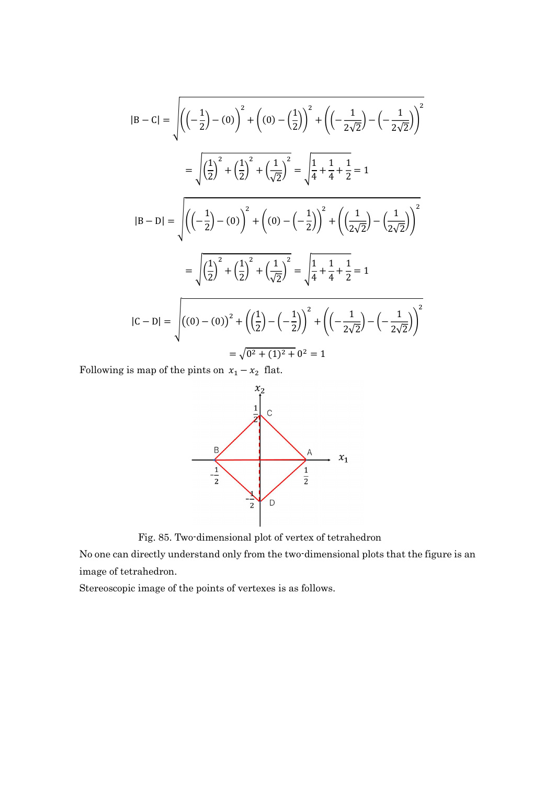$$
|B - C| = \sqrt{\left(\left(-\frac{1}{2}\right) - (0)\right)^2 + \left((0) - \left(\frac{1}{2}\right)\right)^2 + \left(\left(-\frac{1}{2\sqrt{2}}\right) - \left(-\frac{1}{2\sqrt{2}}\right)\right)^2}
$$
  
\n
$$
= \sqrt{\left(\frac{1}{2}\right)^2 + \left(\frac{1}{2}\right)^2 + \left(\frac{1}{\sqrt{2}}\right)^2} = \sqrt{\frac{1}{4} + \frac{1}{4} + \frac{1}{2}} = 1
$$
  
\n
$$
|B - D| = \sqrt{\left(\left(-\frac{1}{2}\right) - (0)\right)^2 + \left((0) - \left(-\frac{1}{2}\right)\right)^2 + \left(\left(\frac{1}{2\sqrt{2}}\right) - \left(\frac{1}{2\sqrt{2}}\right)\right)^2}
$$
  
\n
$$
= \sqrt{\left(\frac{1}{2}\right)^2 + \left(\frac{1}{2}\right)^2 + \left(\frac{1}{\sqrt{2}}\right)^2} = \sqrt{\frac{1}{4} + \frac{1}{4} + \frac{1}{2}} = 1
$$
  
\n
$$
|C - D| = \sqrt{\left((0) - (0)\right)^2 + \left(\left(\frac{1}{2}\right) - \left(-\frac{1}{2}\right)\right)^2 + \left(\left(-\frac{1}{2\sqrt{2}}\right) - \left(-\frac{1}{2\sqrt{2}}\right)\right)^2}
$$
  
\n
$$
= \sqrt{0^2 + (1)^2 + 0^2} = 1
$$

Following is map of the pints on  $x_1 - x_2$  flat.



Fig. 85. Two-dimensional plot of vertex of tetrahedron

No one can directly understand only from the two-dimensional plots that the figure is an image of tetrahedron.

Stereoscopic image of the points of vertexes is as follows.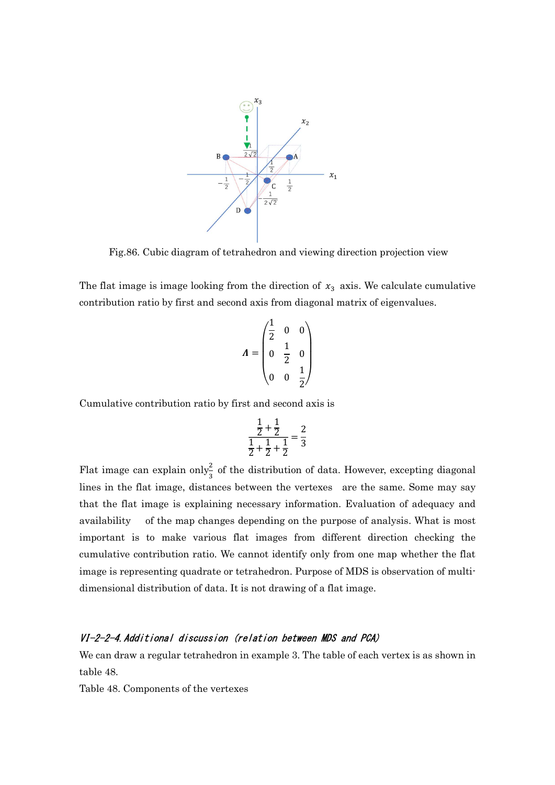

Fig.86. Cubic diagram of tetrahedron and viewing direction projection view

The flat image is image looking from the direction of  $x_3$  axis. We calculate cumulative contribution ratio by first and second axis from diagonal matrix of eigenvalues.

$$
\boldsymbol{\Lambda} = \begin{pmatrix} \frac{1}{2} & 0 & 0 \\ 0 & \frac{1}{2} & 0 \\ 0 & 0 & \frac{1}{2} \end{pmatrix}
$$

Cumulative contribution ratio by first and second axis is

$$
\frac{\frac{1}{2} + \frac{1}{2}}{\frac{1}{2} + \frac{1}{2} + \frac{1}{2}} = \frac{2}{3}
$$

Flat image can explain only<sup>2</sup>/<sub>3</sub> of the distribution of data. However, excepting diagonal lines in the flat image, distances between the vertexes are the same. Some may say that the flat image is explaining necessary information. Evaluation of adequacy and availability of the map changes depending on the purpose of analysis. What is most important is to make various flat images from different direction checking the cumulative contribution ratio. We cannot identify only from one map whether the flat image is representing quadrate or tetrahedron. Purpose of MDS is observation of multidimensional distribution of data. It is not drawing of a flat image.

## VI-2-2-4.Additional discussion (relation between MDS and PCA)

We can draw a regular tetrahedron in example 3. The table of each vertex is as shown in table 48.

Table 48. Components of the vertexes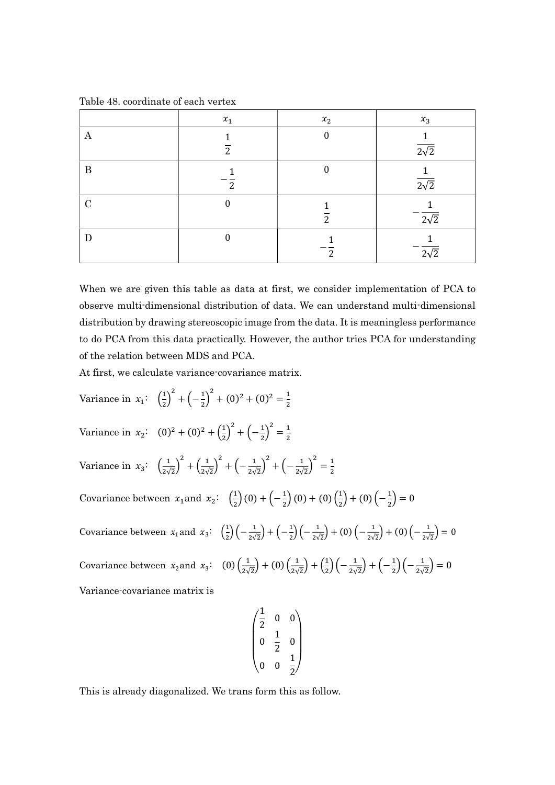Table 48. coordinate of each vertex

|               | $x_1$               | $x_2$          | $x_3$                                  |
|---------------|---------------------|----------------|----------------------------------------|
| А             | 1<br>$\overline{2}$ | $\mathbf{0}$   | $\mathbf{1}$<br>$\overline{2\sqrt{2}}$ |
| B             | 1<br>2              | $\theta$       | $\mathbf{1}$<br>$\overline{2\sqrt{2}}$ |
| $\mathcal{C}$ | 0                   | $\overline{2}$ | $\sqrt{2}\sqrt{2}$                     |
| D             | 0                   | 2              | $\sqrt{2}\sqrt{2}$                     |

When we are given this table as data at first, we consider implementation of PCA to observe multi-dimensional distribution of data. We can understand multi-dimensional distribution by drawing stereoscopic image from the data. It is meaningless performance to do PCA from this data practically. However, the author tries PCA for understanding of the relation between MDS and PCA.

At first, we calculate variance-covariance matrix.

Variance in  $x_1$ :  $\left(\frac{1}{2}\right)$  $\left(\frac{1}{2}\right)^2 + \left(-\frac{1}{2}\right)$  $\left(\frac{1}{2}\right)^2 + (0)^2 + (0)^2 = \frac{1}{2}$ ଶ Variance in  $x_2$ :  $(0)^2 + (0)^2 + (\frac{1}{2})^2$  $\left(\frac{1}{2}\right)^2 + \left(-\frac{1}{2}\right)$  $\frac{1}{2}$   $\frac{1}{2}$   $\frac{1}{2}$ ଶ Variance in  $x_3$ :  $\left(\frac{1}{2\sqrt{3}}\right)$  $\left(\frac{1}{2\sqrt{2}}\right)^2 + \left(\frac{1}{2\sqrt{2}}\right)$  $\left(\frac{1}{2\sqrt{2}}\right)^2 + \left(-\frac{1}{2\sqrt{2}}\right)$  $\frac{1}{2\sqrt{2}}\right)^2 + \left(-\frac{1}{2\sqrt{2}}\right)$  $\frac{1}{2\sqrt{2}}\bigg)^2 = \frac{1}{2}$ ଶ Covariance between  $x_1$  and  $x_2$ :  $\left(\frac{1}{2}\right)$  $\frac{1}{2}$  (0) +  $\left(-\frac{1}{2}\right)$  $\frac{1}{2}$  (0) + (0)  $\left(\frac{1}{2}\right)$  $\binom{1}{2} + (0) \left( -\frac{1}{2} \right)$  $\binom{1}{2} = 0$ Covariance between  $x_1$  and  $x_3$ :  $\left(\frac{1}{2}\right)$  $\frac{1}{2} \left( -\frac{1}{2\sqrt{2}} \right)$  $\frac{1}{2\sqrt{2}}$  +  $\left(-\frac{1}{2}\right)$  $\frac{1}{2} \left( -\frac{1}{2\sqrt{2}} \right)$  $\frac{1}{2\sqrt{2}}$  + (0)  $\left(-\frac{1}{2\sqrt{2}}\right)$  $\frac{1}{2\sqrt{2}}$  + (0)  $\left(-\frac{1}{2\sqrt{2}}\right)$  $\frac{1}{2\sqrt{2}}$  = 0 Covariance between  $x_2$  and  $x_3$ : (0)  $\left(\frac{1}{2\sqrt{3}}\right)$  $\left(\frac{1}{2\sqrt{2}}\right) + (0)\left(\frac{1}{2\sqrt{2}}\right)$  $\left(\frac{1}{2\sqrt{2}}\right) + \left(\frac{1}{2}\right)$  $\frac{1}{2}$  $\left(-\frac{1}{2\sqrt{2}}\right)$  $\frac{1}{2\sqrt{2}}$  +  $\left(-\frac{1}{2}\right)$  $\frac{1}{2}$  $\left(-\frac{1}{2\sqrt{2}}\right)$  $\frac{1}{2\sqrt{2}}$  = 0 Variance-covariance matrix is

$$
\begin{pmatrix}\n\frac{1}{2} & 0 & 0 \\
0 & \frac{1}{2} & 0 \\
0 & 0 & \frac{1}{2}\n\end{pmatrix}
$$

This is already diagonalized. We trans form this as follow.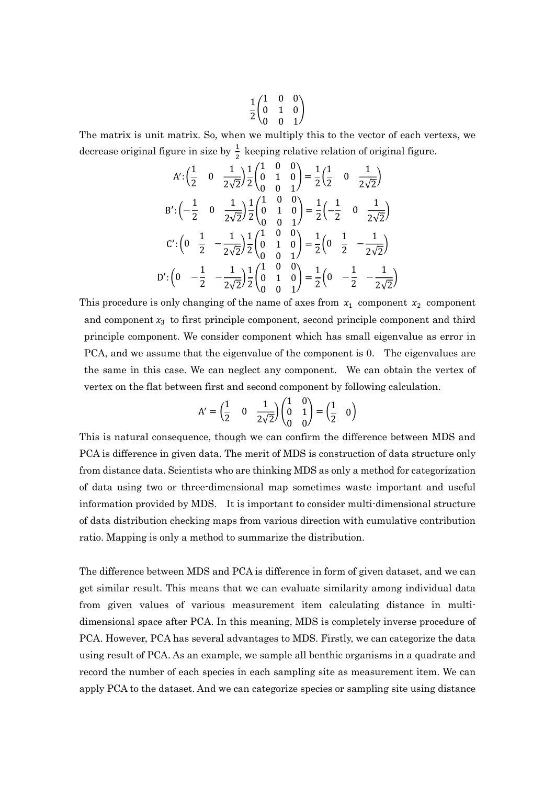$$
\frac{1}{2}\begin{pmatrix} 1 & 0 & 0 \\ 0 & 1 & 0 \\ 0 & 0 & 1 \end{pmatrix}
$$

The matrix is unit matrix. So, when we multiply this to the vector of each vertexs, we decrease original figure in size by  $\frac{1}{2}$  keeping relative relation of original figure.

$$
A' : \left(\frac{1}{2} \quad 0 \quad \frac{1}{2\sqrt{2}}\right) \frac{1}{2} \begin{pmatrix} 1 & 0 & 0 \\ 0 & 1 & 0 \\ 0 & 0 & 1 \end{pmatrix} = \frac{1}{2} \begin{pmatrix} 1 & 0 & \frac{1}{2\sqrt{2}} \end{pmatrix}
$$

$$
B' : \left(-\frac{1}{2} \quad 0 \quad \frac{1}{2\sqrt{2}}\right) \frac{1}{2} \begin{pmatrix} 1 & 0 & 0 \\ 0 & 1 & 0 \\ 0 & 0 & 1 \end{pmatrix} = \frac{1}{2} \begin{pmatrix} -\frac{1}{2} & 0 & \frac{1}{2\sqrt{2}} \end{pmatrix}
$$

$$
C' : \left(0 & \frac{1}{2} \quad -\frac{1}{2\sqrt{2}}\right) \frac{1}{2} \begin{pmatrix} 1 & 0 & 0 \\ 0 & 1 & 0 \\ 0 & 0 & 1 \end{pmatrix} = \frac{1}{2} \begin{pmatrix} 0 & \frac{1}{2} & -\frac{1}{2\sqrt{2}} \end{pmatrix}
$$

$$
D' : \left(0 & -\frac{1}{2} \quad -\frac{1}{2\sqrt{2}}\right) \frac{1}{2} \begin{pmatrix} 1 & 0 & 0 \\ 0 & 1 & 0 \\ 0 & 0 & 1 \end{pmatrix} = \frac{1}{2} \begin{pmatrix} 0 & -\frac{1}{2} & -\frac{1}{2\sqrt{2}} \end{pmatrix}
$$

This procedure is only changing of the name of axes from  $x_1$  component  $x_2$  component and component  $x_3$  to first principle component, second principle component and third principle component. We consider component which has small eigenvalue as error in PCA, and we assume that the eigenvalue of the component is 0. The eigenvalues are the same in this case. We can neglect any component. We can obtain the vertex of vertex on the flat between first and second component by following calculation.

$$
A'=\begin{pmatrix} \frac{1}{2} & 0 & \frac{1}{2\sqrt{2}} \end{pmatrix} \begin{pmatrix} 1 & 0 \\ 0 & 1 \\ 0 & 0 \end{pmatrix} = \begin{pmatrix} \frac{1}{2} & 0 \end{pmatrix}
$$

This is natural consequence, though we can confirm the difference between MDS and PCA is difference in given data. The merit of MDS is construction of data structure only from distance data. Scientists who are thinking MDS as only a method for categorization of data using two or three-dimensional map sometimes waste important and useful information provided by MDS. It is important to consider multi-dimensional structure of data distribution checking maps from various direction with cumulative contribution ratio. Mapping is only a method to summarize the distribution.

The difference between MDS and PCA is difference in form of given dataset, and we can get similar result. This means that we can evaluate similarity among individual data from given values of various measurement item calculating distance in multidimensional space after PCA. In this meaning, MDS is completely inverse procedure of PCA. However, PCA has several advantages to MDS. Firstly, we can categorize the data using result of PCA. As an example, we sample all benthic organisms in a quadrate and record the number of each species in each sampling site as measurement item. We can apply PCA to the dataset. And we can categorize species or sampling site using distance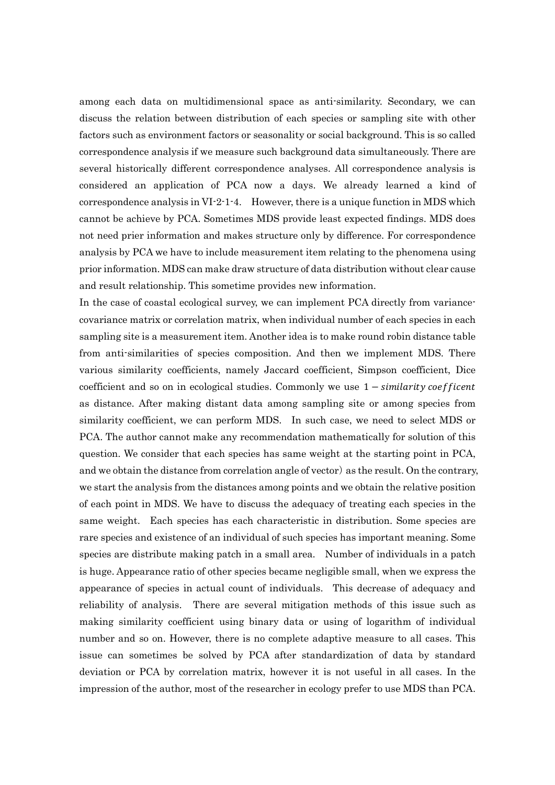among each data on multidimensional space as anti-similarity. Secondary, we can discuss the relation between distribution of each species or sampling site with other factors such as environment factors or seasonality or social background. This is so called correspondence analysis if we measure such background data simultaneously. There are several historically different correspondence analyses. All correspondence analysis is considered an application of PCA now a days. We already learned a kind of correspondence analysis in  $VI-2-1-4$ . However, there is a unique function in MDS which cannot be achieve by PCA. Sometimes MDS provide least expected findings. MDS does not need prier information and makes structure only by difference. For correspondence analysis by PCA we have to include measurement item relating to the phenomena using prior information. MDS can make draw structure of data distribution without clear cause and result relationship. This sometime provides new information.

In the case of coastal ecological survey, we can implement PCA directly from variancecovariance matrix or correlation matrix, when individual number of each species in each sampling site is a measurement item. Another idea is to make round robin distance table from anti-similarities of species composition. And then we implement MDS. There various similarity coefficients, namely Jaccard coefficient, Simpson coefficient, Dice coefficient and so on in ecological studies. Commonly we use  $1$  – similarity coefficent as distance. After making distant data among sampling site or among species from similarity coefficient, we can perform MDS. In such case, we need to select MDS or PCA. The author cannot make any recommendation mathematically for solution of this question. We consider that each species has same weight at the starting point in PCA, and we obtain the distance from correlation angle of vector) as the result. On the contrary, we start the analysis from the distances among points and we obtain the relative position of each point in MDS. We have to discuss the adequacy of treating each species in the same weight. Each species has each characteristic in distribution. Some species are rare species and existence of an individual of such species has important meaning. Some species are distribute making patch in a small area. Number of individuals in a patch is huge. Appearance ratio of other species became negligible small, when we express the appearance of species in actual count of individuals. This decrease of adequacy and reliability of analysis. There are several mitigation methods of this issue such as making similarity coefficient using binary data or using of logarithm of individual number and so on. However, there is no complete adaptive measure to all cases. This issue can sometimes be solved by PCA after standardization of data by standard deviation or PCA by correlation matrix, however it is not useful in all cases. In the impression of the author, most of the researcher in ecology prefer to use MDS than PCA.